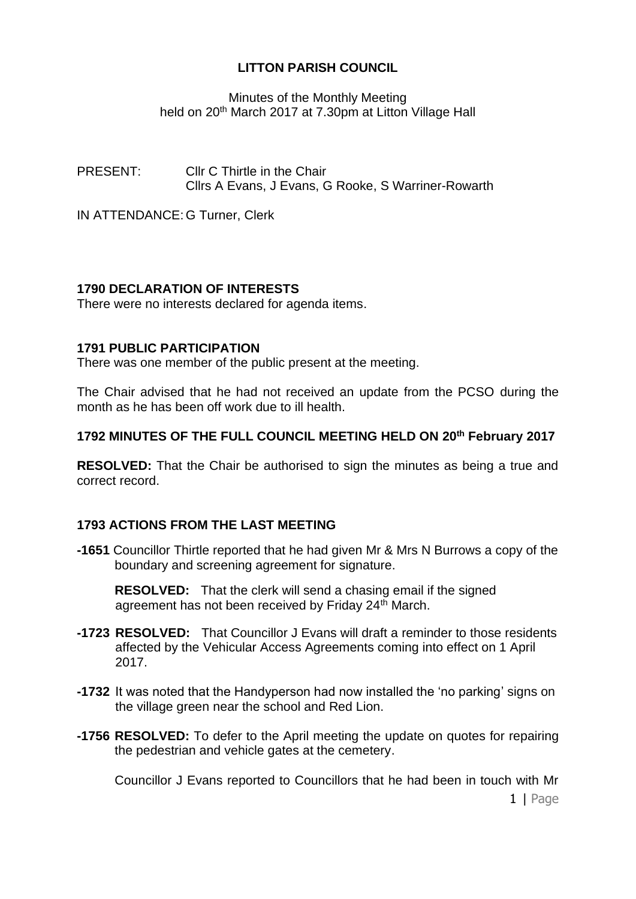Minutes of the Monthly Meeting held on 20<sup>th</sup> March 2017 at 7.30pm at Litton Village Hall

PRESENT: Cllr C Thirtle in the Chair Cllrs A Evans, J Evans, G Rooke, S Warriner-Rowarth

IN ATTENDANCE: G Turner, Clerk

# **1790 DECLARATION OF INTERESTS**

There were no interests declared for agenda items.

### **1791 PUBLIC PARTICIPATION**

There was one member of the public present at the meeting.

The Chair advised that he had not received an update from the PCSO during the month as he has been off work due to ill health.

### **1792 MINUTES OF THE FULL COUNCIL MEETING HELD ON 20th February 2017**

**RESOLVED:** That the Chair be authorised to sign the minutes as being a true and correct record.

# **1793 ACTIONS FROM THE LAST MEETING**

**-1651** Councillor Thirtle reported that he had given Mr & Mrs N Burrows a copy of the boundary and screening agreement for signature.

**RESOLVED:** That the clerk will send a chasing email if the signed agreement has not been received by Friday 24<sup>th</sup> March.

- **-1723 RESOLVED:** That Councillor J Evans will draft a reminder to those residents affected by the Vehicular Access Agreements coming into effect on 1 April 2017.
- **-1732** It was noted that the Handyperson had now installed the 'no parking' signs on the village green near the school and Red Lion.
- **-1756 RESOLVED:** To defer to the April meeting the update on quotes for repairing the pedestrian and vehicle gates at the cemetery.

1 | Page Councillor J Evans reported to Councillors that he had been in touch with Mr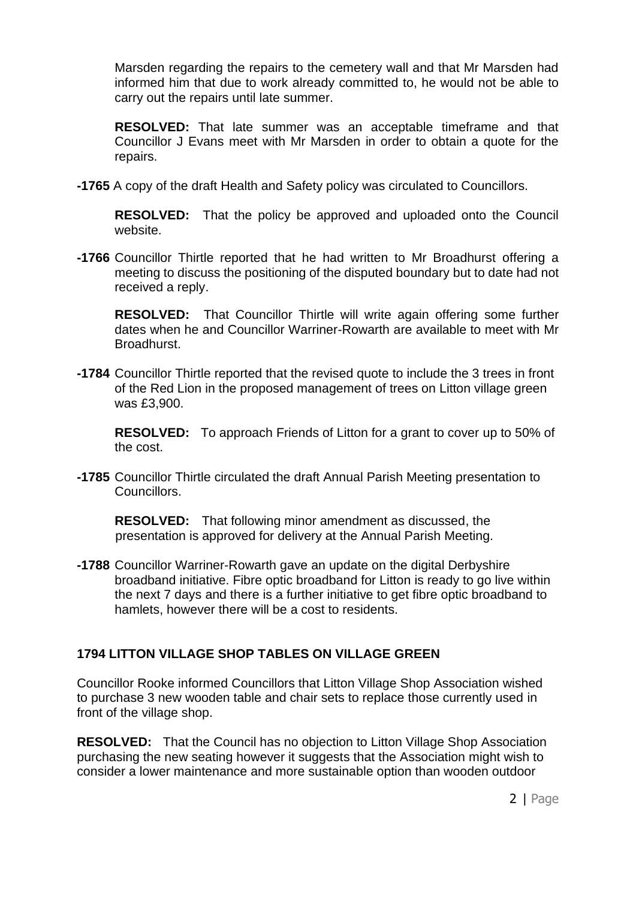Marsden regarding the repairs to the cemetery wall and that Mr Marsden had informed him that due to work already committed to, he would not be able to carry out the repairs until late summer.

**RESOLVED:** That late summer was an acceptable timeframe and that Councillor J Evans meet with Mr Marsden in order to obtain a quote for the repairs.

**-1765** A copy of the draft Health and Safety policy was circulated to Councillors.

**RESOLVED:** That the policy be approved and uploaded onto the Council website.

**-1766** Councillor Thirtle reported that he had written to Mr Broadhurst offering a meeting to discuss the positioning of the disputed boundary but to date had not received a reply.

**RESOLVED:** That Councillor Thirtle will write again offering some further dates when he and Councillor Warriner-Rowarth are available to meet with Mr Broadhurst.

**-1784** Councillor Thirtle reported that the revised quote to include the 3 trees in front of the Red Lion in the proposed management of trees on Litton village green was £3,900.

**RESOLVED:** To approach Friends of Litton for a grant to cover up to 50% of the cost.

**-1785** Councillor Thirtle circulated the draft Annual Parish Meeting presentation to Councillors.

**RESOLVED:** That following minor amendment as discussed, the presentation is approved for delivery at the Annual Parish Meeting.

**-1788** Councillor Warriner-Rowarth gave an update on the digital Derbyshire broadband initiative. Fibre optic broadband for Litton is ready to go live within the next 7 days and there is a further initiative to get fibre optic broadband to hamlets, however there will be a cost to residents.

# **1794 LITTON VILLAGE SHOP TABLES ON VILLAGE GREEN**

Councillor Rooke informed Councillors that Litton Village Shop Association wished to purchase 3 new wooden table and chair sets to replace those currently used in front of the village shop.

**RESOLVED:** That the Council has no objection to Litton Village Shop Association purchasing the new seating however it suggests that the Association might wish to consider a lower maintenance and more sustainable option than wooden outdoor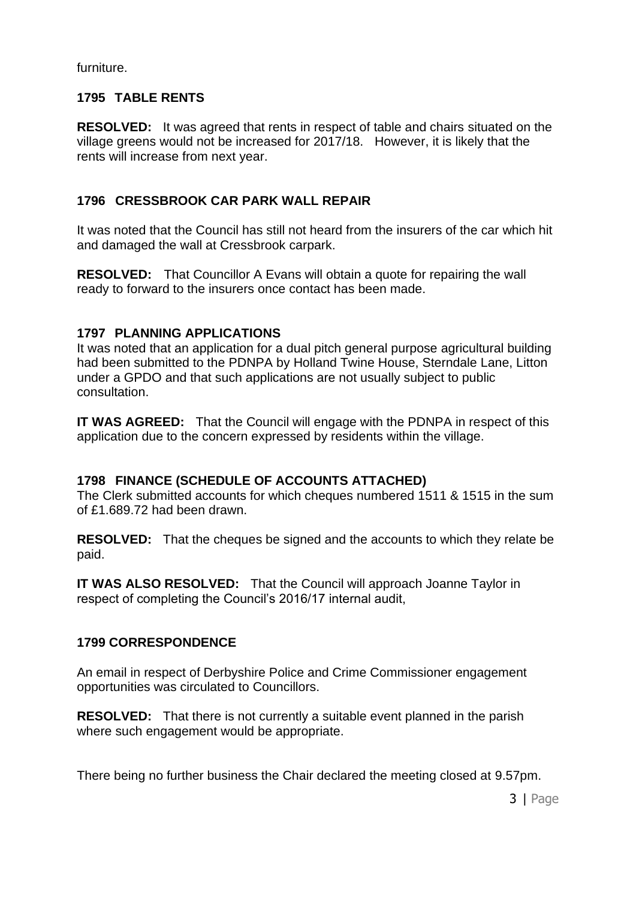furniture.

# **1795 TABLE RENTS**

**RESOLVED:** It was agreed that rents in respect of table and chairs situated on the village greens would not be increased for 2017/18. However, it is likely that the rents will increase from next year.

# **1796 CRESSBROOK CAR PARK WALL REPAIR**

It was noted that the Council has still not heard from the insurers of the car which hit and damaged the wall at Cressbrook carpark.

**RESOLVED:** That Councillor A Evans will obtain a quote for repairing the wall ready to forward to the insurers once contact has been made.

# **1797 PLANNING APPLICATIONS**

It was noted that an application for a dual pitch general purpose agricultural building had been submitted to the PDNPA by Holland Twine House, Sterndale Lane, Litton under a GPDO and that such applications are not usually subject to public consultation.

**IT WAS AGREED:** That the Council will engage with the PDNPA in respect of this application due to the concern expressed by residents within the village.

# **1798 FINANCE (SCHEDULE OF ACCOUNTS ATTACHED)**

The Clerk submitted accounts for which cheques numbered 1511 & 1515 in the sum of £1.689.72 had been drawn.

**RESOLVED:** That the cheques be signed and the accounts to which they relate be paid.

**IT WAS ALSO RESOLVED:** That the Council will approach Joanne Taylor in respect of completing the Council's 2016/17 internal audit,

# **1799 CORRESPONDENCE**

An email in respect of Derbyshire Police and Crime Commissioner engagement opportunities was circulated to Councillors.

**RESOLVED:** That there is not currently a suitable event planned in the parish where such engagement would be appropriate.

There being no further business the Chair declared the meeting closed at 9.57pm.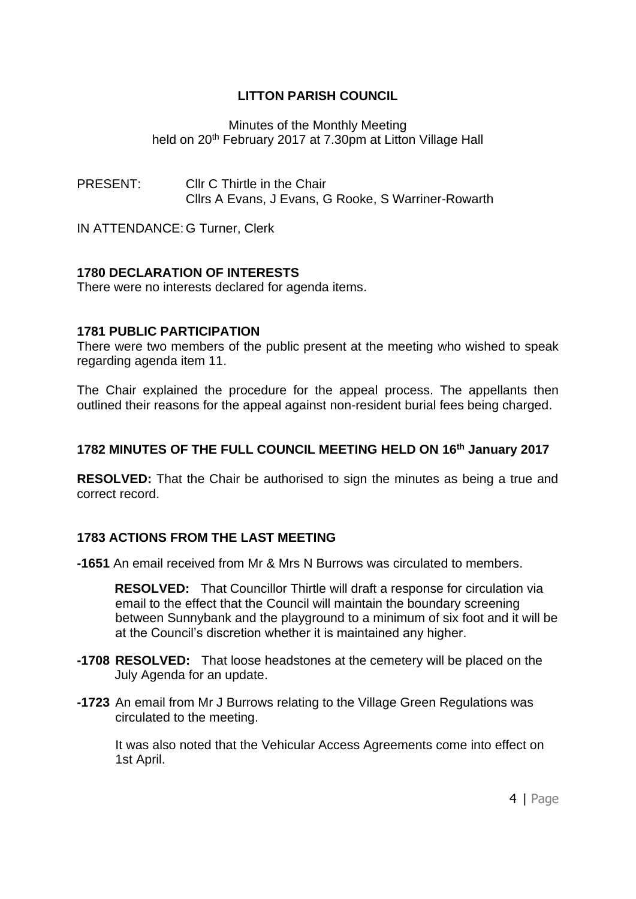Minutes of the Monthly Meeting held on 20<sup>th</sup> February 2017 at 7.30pm at Litton Village Hall

PRESENT: Cllr C Thirtle in the Chair Cllrs A Evans, J Evans, G Rooke, S Warriner-Rowarth

IN ATTENDANCE: G Turner, Clerk

### **1780 DECLARATION OF INTERESTS**

There were no interests declared for agenda items.

### **1781 PUBLIC PARTICIPATION**

There were two members of the public present at the meeting who wished to speak regarding agenda item 11.

The Chair explained the procedure for the appeal process. The appellants then outlined their reasons for the appeal against non-resident burial fees being charged.

# **1782 MINUTES OF THE FULL COUNCIL MEETING HELD ON 16th January 2017**

**RESOLVED:** That the Chair be authorised to sign the minutes as being a true and correct record.

#### **1783 ACTIONS FROM THE LAST MEETING**

**-1651** An email received from Mr & Mrs N Burrows was circulated to members.

**RESOLVED:** That Councillor Thirtle will draft a response for circulation via email to the effect that the Council will maintain the boundary screening between Sunnybank and the playground to a minimum of six foot and it will be at the Council's discretion whether it is maintained any higher.

- **-1708 RESOLVED:** That loose headstones at the cemetery will be placed on the July Agenda for an update.
- **-1723** An email from Mr J Burrows relating to the Village Green Regulations was circulated to the meeting.

It was also noted that the Vehicular Access Agreements come into effect on 1st April.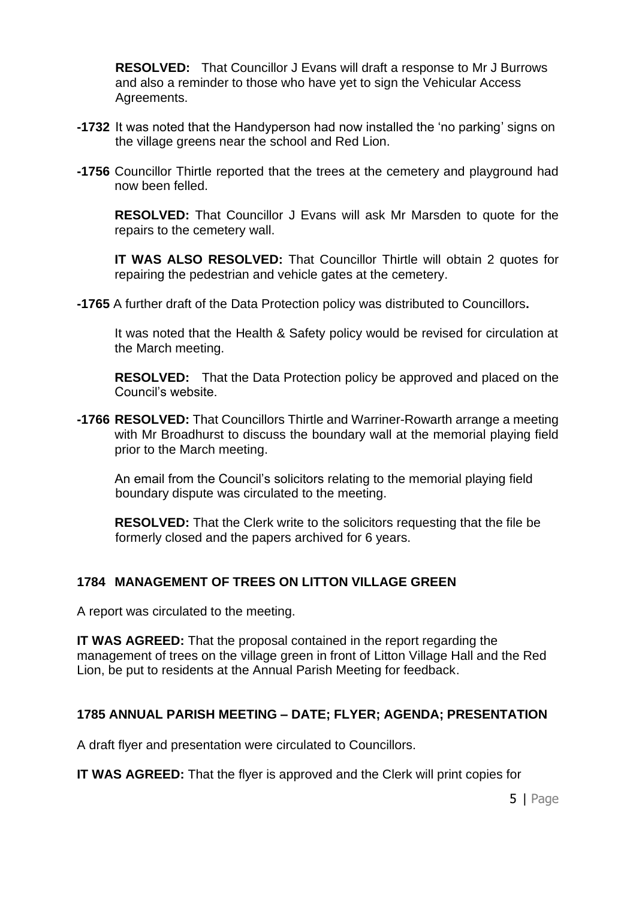**RESOLVED:** That Councillor J Evans will draft a response to Mr J Burrows and also a reminder to those who have yet to sign the Vehicular Access Agreements.

- **-1732** It was noted that the Handyperson had now installed the 'no parking' signs on the village greens near the school and Red Lion.
- **-1756** Councillor Thirtle reported that the trees at the cemetery and playground had now been felled.

**RESOLVED:** That Councillor J Evans will ask Mr Marsden to quote for the repairs to the cemetery wall.

**IT WAS ALSO RESOLVED:** That Councillor Thirtle will obtain 2 quotes for repairing the pedestrian and vehicle gates at the cemetery.

**-1765** A further draft of the Data Protection policy was distributed to Councillors**.** 

It was noted that the Health & Safety policy would be revised for circulation at the March meeting.

**RESOLVED:** That the Data Protection policy be approved and placed on the Council's website.

**-1766 RESOLVED:** That Councillors Thirtle and Warriner-Rowarth arrange a meeting with Mr Broadhurst to discuss the boundary wall at the memorial playing field prior to the March meeting.

An email from the Council's solicitors relating to the memorial playing field boundary dispute was circulated to the meeting.

**RESOLVED:** That the Clerk write to the solicitors requesting that the file be formerly closed and the papers archived for 6 years.

#### **1784 MANAGEMENT OF TREES ON LITTON VILLAGE GREEN**

A report was circulated to the meeting.

**IT WAS AGREED:** That the proposal contained in the report regarding the management of trees on the village green in front of Litton Village Hall and the Red Lion, be put to residents at the Annual Parish Meeting for feedback.

#### **1785 ANNUAL PARISH MEETING – DATE; FLYER; AGENDA; PRESENTATION**

A draft flyer and presentation were circulated to Councillors.

**IT WAS AGREED:** That the flyer is approved and the Clerk will print copies for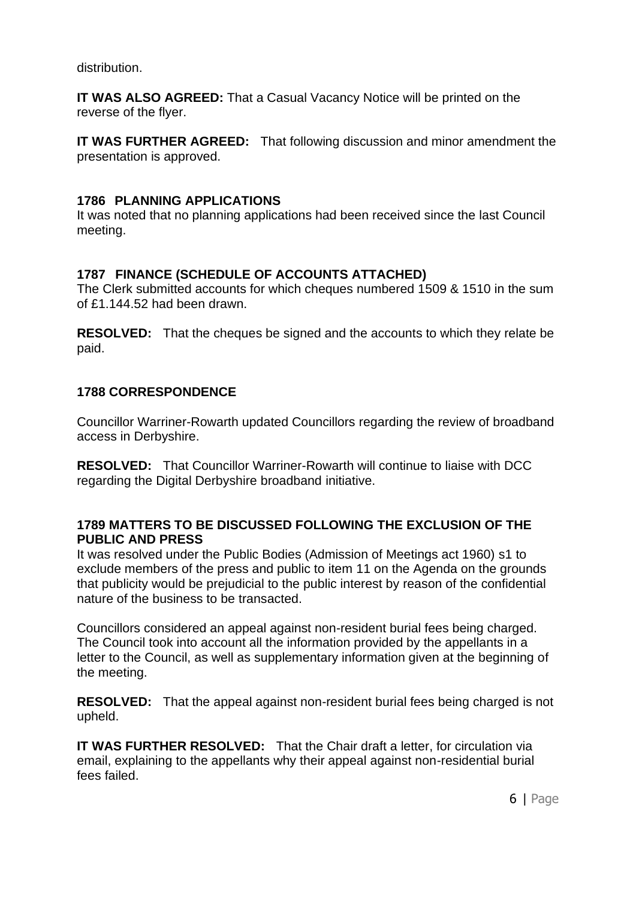distribution.

**IT WAS ALSO AGREED:** That a Casual Vacancy Notice will be printed on the reverse of the flyer.

**IT WAS FURTHER AGREED:** That following discussion and minor amendment the presentation is approved.

### **1786 PLANNING APPLICATIONS**

It was noted that no planning applications had been received since the last Council meeting.

# **1787 FINANCE (SCHEDULE OF ACCOUNTS ATTACHED)**

The Clerk submitted accounts for which cheques numbered 1509 & 1510 in the sum of £1.144.52 had been drawn.

**RESOLVED:** That the cheques be signed and the accounts to which they relate be paid.

### **1788 CORRESPONDENCE**

Councillor Warriner-Rowarth updated Councillors regarding the review of broadband access in Derbyshire.

**RESOLVED:** That Councillor Warriner-Rowarth will continue to liaise with DCC regarding the Digital Derbyshire broadband initiative.

#### **1789 MATTERS TO BE DISCUSSED FOLLOWING THE EXCLUSION OF THE PUBLIC AND PRESS**

It was resolved under the Public Bodies (Admission of Meetings act 1960) s1 to exclude members of the press and public to item 11 on the Agenda on the grounds that publicity would be prejudicial to the public interest by reason of the confidential nature of the business to be transacted.

Councillors considered an appeal against non-resident burial fees being charged. The Council took into account all the information provided by the appellants in a letter to the Council, as well as supplementary information given at the beginning of the meeting.

**RESOLVED:** That the appeal against non-resident burial fees being charged is not upheld.

**IT WAS FURTHER RESOLVED:** That the Chair draft a letter, for circulation via email, explaining to the appellants why their appeal against non-residential burial fees failed.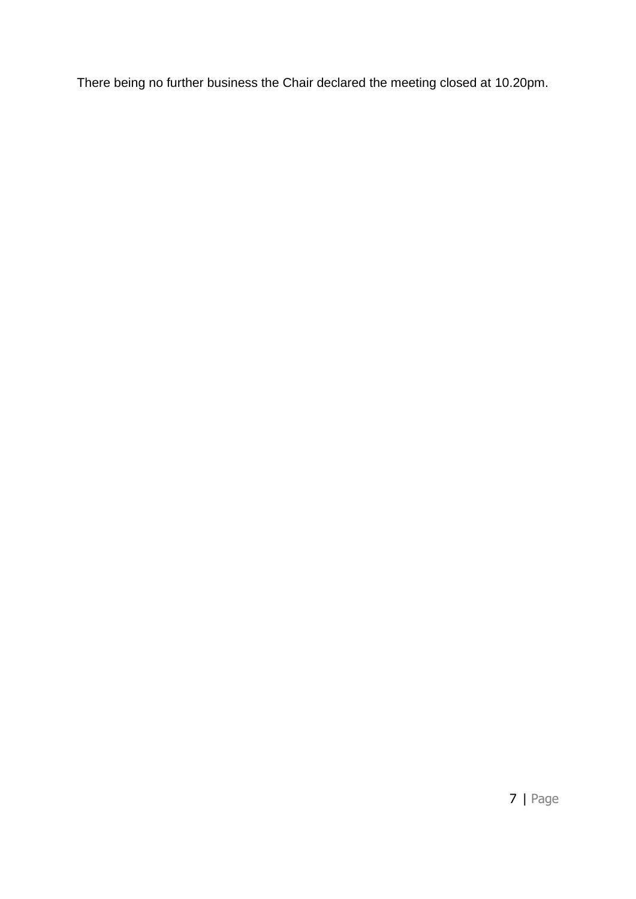There being no further business the Chair declared the meeting closed at 10.20pm.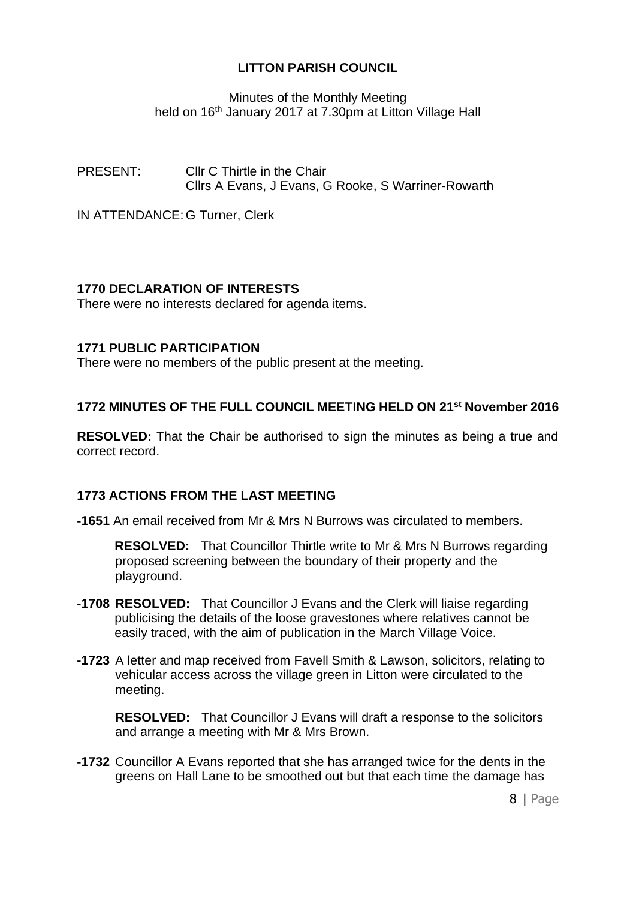Minutes of the Monthly Meeting held on 16<sup>th</sup> January 2017 at 7.30pm at Litton Village Hall

PRESENT: Cllr C Thirtle in the Chair Cllrs A Evans, J Evans, G Rooke, S Warriner-Rowarth

IN ATTENDANCE: G Turner, Clerk

# **1770 DECLARATION OF INTERESTS**

There were no interests declared for agenda items.

### **1771 PUBLIC PARTICIPATION**

There were no members of the public present at the meeting.

### **1772 MINUTES OF THE FULL COUNCIL MEETING HELD ON 21st November 2016**

**RESOLVED:** That the Chair be authorised to sign the minutes as being a true and correct record.

# **1773 ACTIONS FROM THE LAST MEETING**

**-1651** An email received from Mr & Mrs N Burrows was circulated to members.

**RESOLVED:** That Councillor Thirtle write to Mr & Mrs N Burrows regarding proposed screening between the boundary of their property and the playground.

- **-1708 RESOLVED:** That Councillor J Evans and the Clerk will liaise regarding publicising the details of the loose gravestones where relatives cannot be easily traced, with the aim of publication in the March Village Voice.
- **-1723** A letter and map received from Favell Smith & Lawson, solicitors, relating to vehicular access across the village green in Litton were circulated to the meeting.

**RESOLVED:** That Councillor J Evans will draft a response to the solicitors and arrange a meeting with Mr & Mrs Brown.

**-1732** Councillor A Evans reported that she has arranged twice for the dents in the greens on Hall Lane to be smoothed out but that each time the damage has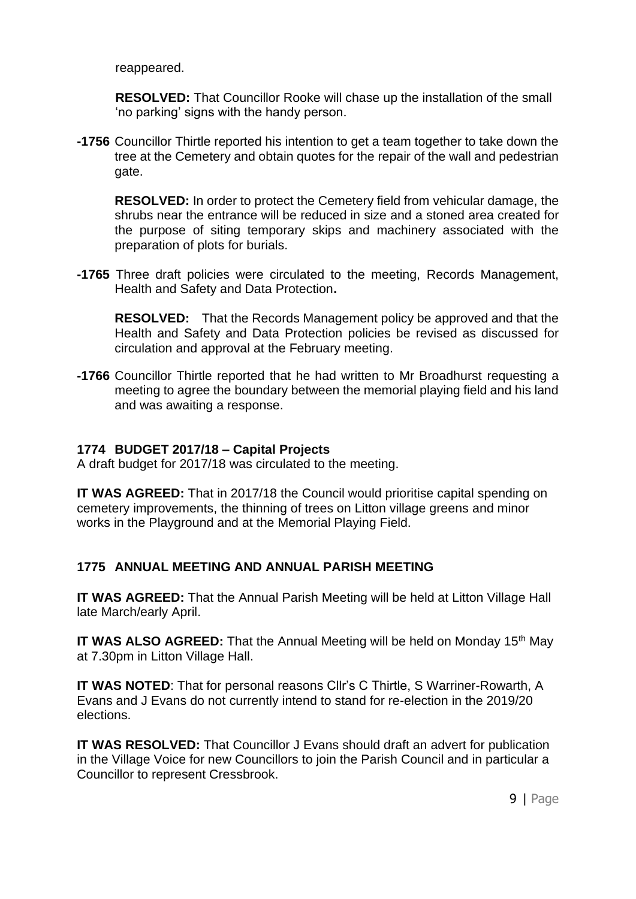reappeared.

**RESOLVED:** That Councillor Rooke will chase up the installation of the small 'no parking' signs with the handy person.

**-1756** Councillor Thirtle reported his intention to get a team together to take down the tree at the Cemetery and obtain quotes for the repair of the wall and pedestrian gate.

**RESOLVED:** In order to protect the Cemetery field from vehicular damage, the shrubs near the entrance will be reduced in size and a stoned area created for the purpose of siting temporary skips and machinery associated with the preparation of plots for burials.

**-1765** Three draft policies were circulated to the meeting, Records Management, Health and Safety and Data Protection**.** 

**RESOLVED:** That the Records Management policy be approved and that the Health and Safety and Data Protection policies be revised as discussed for circulation and approval at the February meeting.

**-1766** Councillor Thirtle reported that he had written to Mr Broadhurst requesting a meeting to agree the boundary between the memorial playing field and his land and was awaiting a response.

### **1774 BUDGET 2017/18 – Capital Projects**

A draft budget for 2017/18 was circulated to the meeting.

**IT WAS AGREED:** That in 2017/18 the Council would prioritise capital spending on cemetery improvements, the thinning of trees on Litton village greens and minor works in the Playground and at the Memorial Playing Field.

# **1775 ANNUAL MEETING AND ANNUAL PARISH MEETING**

**IT WAS AGREED:** That the Annual Parish Meeting will be held at Litton Village Hall late March/early April.

**IT WAS ALSO AGREED:** That the Annual Meeting will be held on Monday 15<sup>th</sup> May at 7.30pm in Litton Village Hall.

**IT WAS NOTED**: That for personal reasons Cllr's C Thirtle, S Warriner-Rowarth, A Evans and J Evans do not currently intend to stand for re-election in the 2019/20 elections.

**IT WAS RESOLVED:** That Councillor J Evans should draft an advert for publication in the Village Voice for new Councillors to join the Parish Council and in particular a Councillor to represent Cressbrook.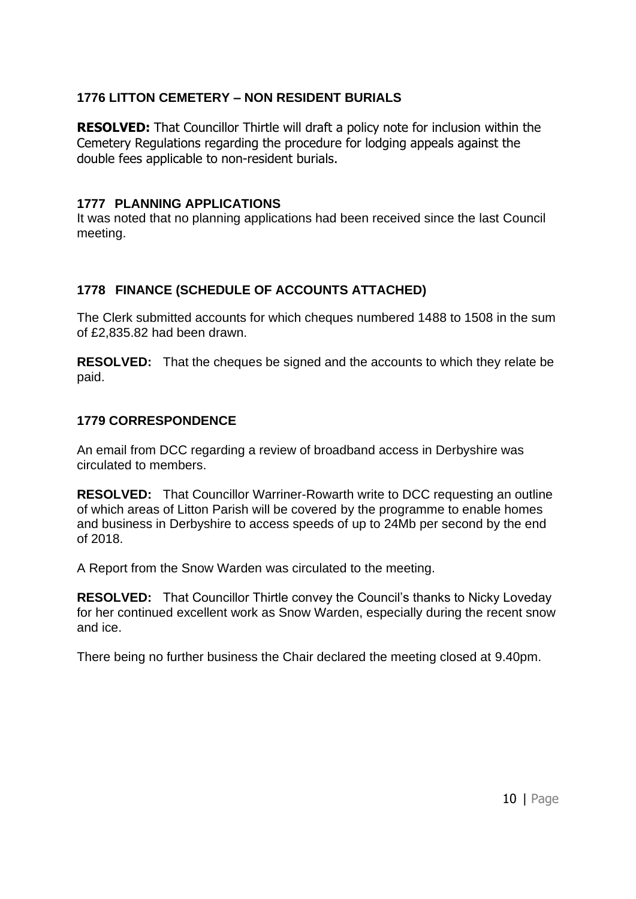# **1776 LITTON CEMETERY – NON RESIDENT BURIALS**

**RESOLVED:** That Councillor Thirtle will draft a policy note for inclusion within the Cemetery Regulations regarding the procedure for lodging appeals against the double fees applicable to non-resident burials.

### **1777 PLANNING APPLICATIONS**

It was noted that no planning applications had been received since the last Council meeting.

# **1778 FINANCE (SCHEDULE OF ACCOUNTS ATTACHED)**

The Clerk submitted accounts for which cheques numbered 1488 to 1508 in the sum of £2,835.82 had been drawn.

**RESOLVED:** That the cheques be signed and the accounts to which they relate be paid.

### **1779 CORRESPONDENCE**

An email from DCC regarding a review of broadband access in Derbyshire was circulated to members.

**RESOLVED:** That Councillor Warriner-Rowarth write to DCC requesting an outline of which areas of Litton Parish will be covered by the programme to enable homes and business in Derbyshire to access speeds of up to 24Mb per second by the end of 2018.

A Report from the Snow Warden was circulated to the meeting.

**RESOLVED:** That Councillor Thirtle convey the Council's thanks to Nicky Loveday for her continued excellent work as Snow Warden, especially during the recent snow and ice.

There being no further business the Chair declared the meeting closed at 9.40pm.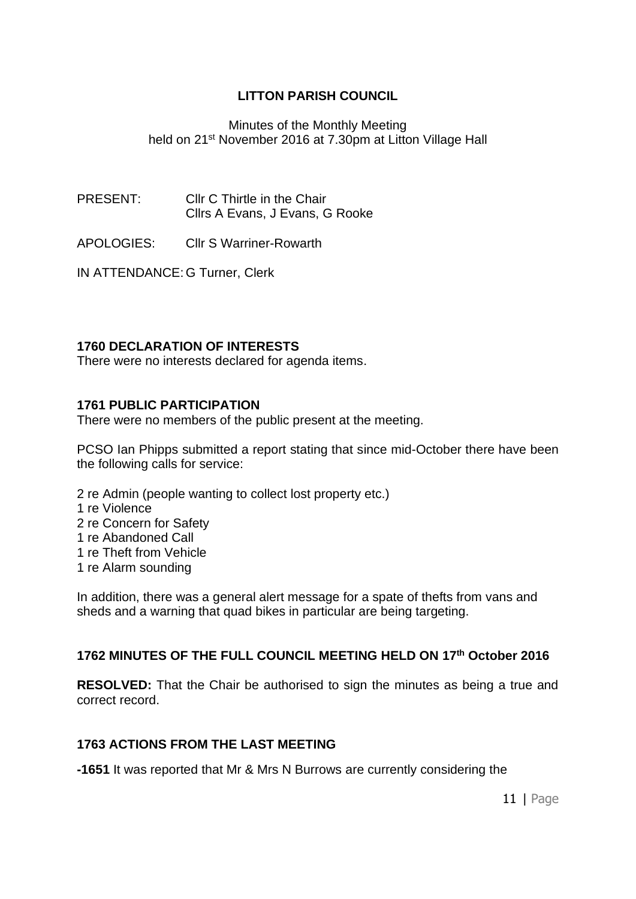#### Minutes of the Monthly Meeting held on 21<sup>st</sup> November 2016 at 7.30pm at Litton Village Hall

PRESENT: Cllr C Thirtle in the Chair Cllrs A Evans, J Evans, G Rooke

APOLOGIES: Cllr S Warriner-Rowarth

IN ATTENDANCE: G Turner, Clerk

#### **1760 DECLARATION OF INTERESTS**

There were no interests declared for agenda items.

#### **1761 PUBLIC PARTICIPATION**

There were no members of the public present at the meeting.

PCSO Ian Phipps submitted a report stating that since mid-October there have been the following calls for service:

- 2 re Admin (people wanting to collect lost property etc.)
- 1 re Violence
- 2 re Concern for Safety
- 1 re Abandoned Call
- 1 re Theft from Vehicle
- 1 re Alarm sounding

In addition, there was a general alert message for a spate of thefts from vans and sheds and a warning that quad bikes in particular are being targeting.

# **1762 MINUTES OF THE FULL COUNCIL MEETING HELD ON 17th October 2016**

**RESOLVED:** That the Chair be authorised to sign the minutes as being a true and correct record.

#### **1763 ACTIONS FROM THE LAST MEETING**

**-1651** It was reported that Mr & Mrs N Burrows are currently considering the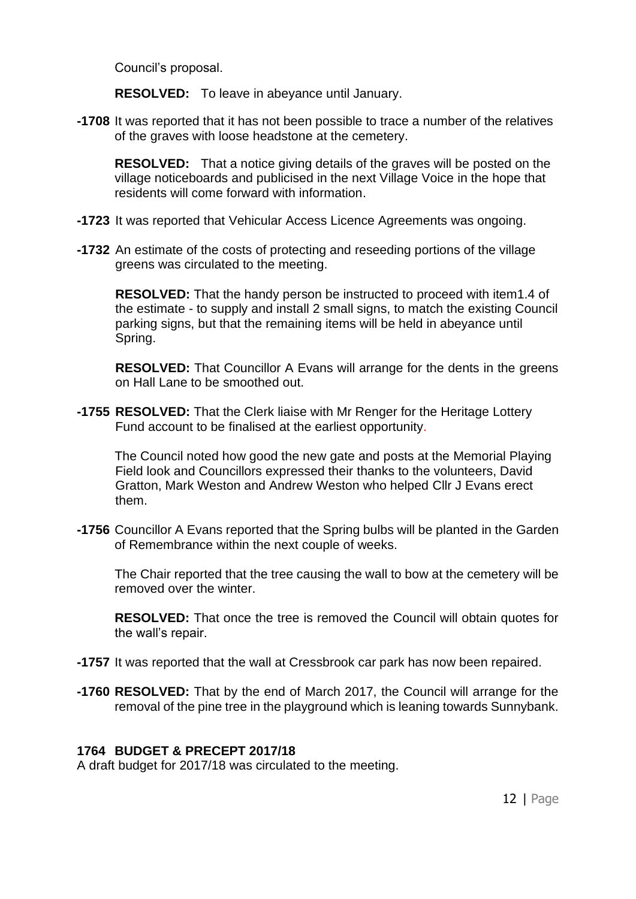Council's proposal.

**RESOLVED:** To leave in abeyance until January.

**-1708** It was reported that it has not been possible to trace a number of the relatives of the graves with loose headstone at the cemetery.

**RESOLVED:** That a notice giving details of the graves will be posted on the village noticeboards and publicised in the next Village Voice in the hope that residents will come forward with information.

- **-1723** It was reported that Vehicular Access Licence Agreements was ongoing.
- **-1732** An estimate of the costs of protecting and reseeding portions of the village greens was circulated to the meeting.

**RESOLVED:** That the handy person be instructed to proceed with item1.4 of the estimate - to supply and install 2 small signs, to match the existing Council parking signs, but that the remaining items will be held in abeyance until Spring.

**RESOLVED:** That Councillor A Evans will arrange for the dents in the greens on Hall Lane to be smoothed out.

**-1755 RESOLVED:** That the Clerk liaise with Mr Renger for the Heritage Lottery Fund account to be finalised at the earliest opportunity.

The Council noted how good the new gate and posts at the Memorial Playing Field look and Councillors expressed their thanks to the volunteers, David Gratton, Mark Weston and Andrew Weston who helped Cllr J Evans erect them.

**-1756** Councillor A Evans reported that the Spring bulbs will be planted in the Garden of Remembrance within the next couple of weeks.

The Chair reported that the tree causing the wall to bow at the cemetery will be removed over the winter.

**RESOLVED:** That once the tree is removed the Council will obtain quotes for the wall's repair.

- **-1757** It was reported that the wall at Cressbrook car park has now been repaired.
- **-1760 RESOLVED:** That by the end of March 2017, the Council will arrange for the removal of the pine tree in the playground which is leaning towards Sunnybank.

#### **1764 BUDGET & PRECEPT 2017/18**

A draft budget for 2017/18 was circulated to the meeting.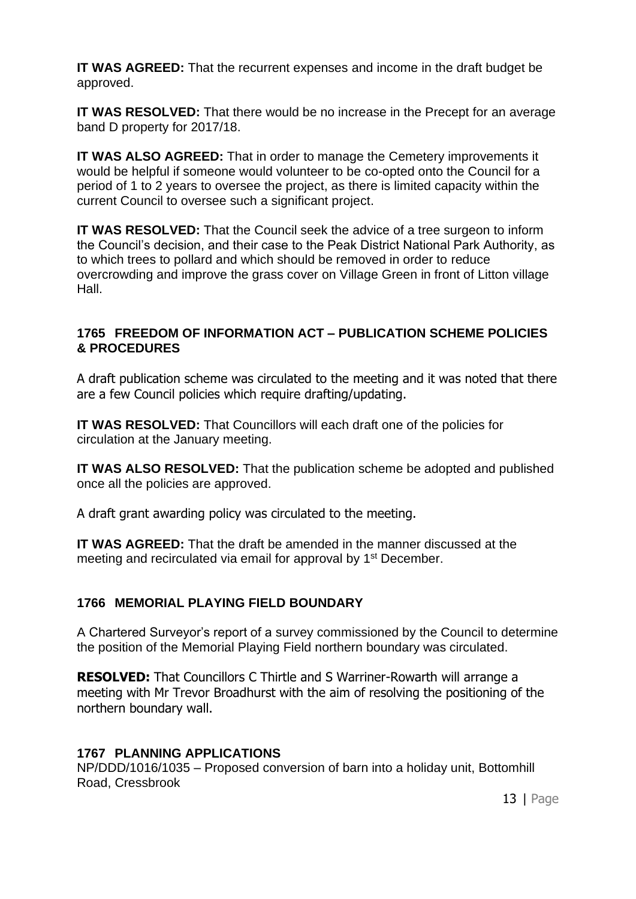**IT WAS AGREED:** That the recurrent expenses and income in the draft budget be approved.

**IT WAS RESOLVED:** That there would be no increase in the Precept for an average band D property for 2017/18.

**IT WAS ALSO AGREED:** That in order to manage the Cemetery improvements it would be helpful if someone would volunteer to be co-opted onto the Council for a period of 1 to 2 years to oversee the project, as there is limited capacity within the current Council to oversee such a significant project.

**IT WAS RESOLVED:** That the Council seek the advice of a tree surgeon to inform the Council's decision, and their case to the Peak District National Park Authority, as to which trees to pollard and which should be removed in order to reduce overcrowding and improve the grass cover on Village Green in front of Litton village Hall.

### **1765 FREEDOM OF INFORMATION ACT – PUBLICATION SCHEME POLICIES & PROCEDURES**

A draft publication scheme was circulated to the meeting and it was noted that there are a few Council policies which require drafting/updating.

**IT WAS RESOLVED:** That Councillors will each draft one of the policies for circulation at the January meeting.

**IT WAS ALSO RESOLVED:** That the publication scheme be adopted and published once all the policies are approved.

A draft grant awarding policy was circulated to the meeting.

**IT WAS AGREED:** That the draft be amended in the manner discussed at the meeting and recirculated via email for approval by 1<sup>st</sup> December.

# **1766 MEMORIAL PLAYING FIELD BOUNDARY**

A Chartered Surveyor's report of a survey commissioned by the Council to determine the position of the Memorial Playing Field northern boundary was circulated.

**RESOLVED:** That Councillors C Thirtle and S Warriner-Rowarth will arrange a meeting with Mr Trevor Broadhurst with the aim of resolving the positioning of the northern boundary wall.

# **1767 PLANNING APPLICATIONS**

NP/DDD/1016/1035 – Proposed conversion of barn into a holiday unit, Bottomhill Road, Cressbrook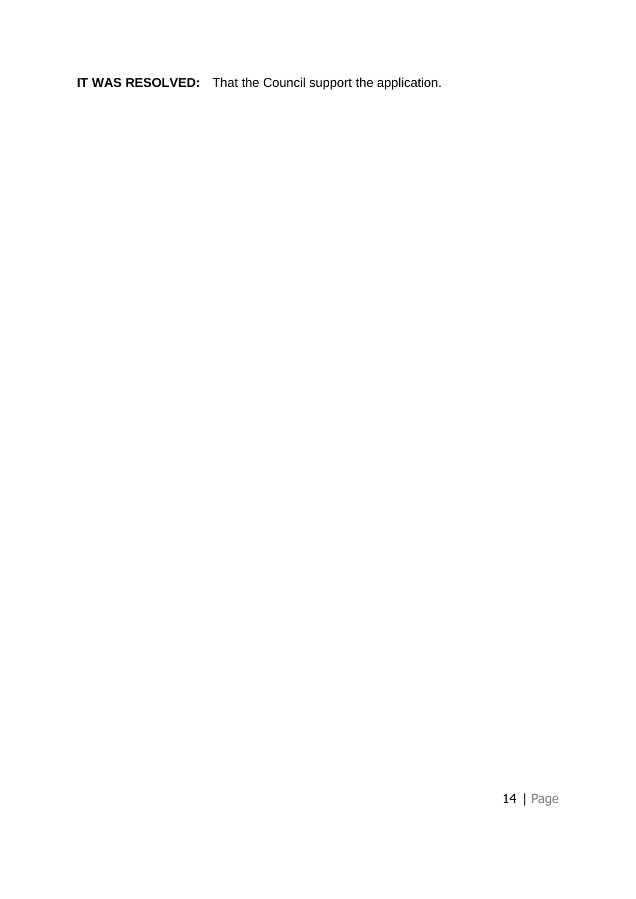**IT WAS RESOLVED:** That the Council support the application.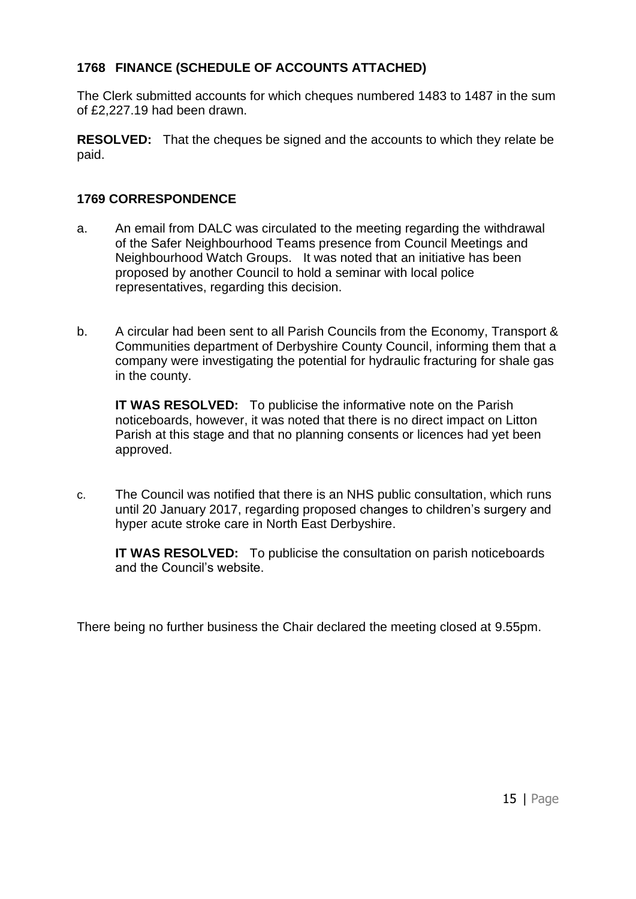# **1768 FINANCE (SCHEDULE OF ACCOUNTS ATTACHED)**

The Clerk submitted accounts for which cheques numbered 1483 to 1487 in the sum of £2,227.19 had been drawn.

**RESOLVED:** That the cheques be signed and the accounts to which they relate be paid.

# **1769 CORRESPONDENCE**

- a. An email from DALC was circulated to the meeting regarding the withdrawal of the Safer Neighbourhood Teams presence from Council Meetings and Neighbourhood Watch Groups. It was noted that an initiative has been proposed by another Council to hold a seminar with local police representatives, regarding this decision.
- b. A circular had been sent to all Parish Councils from the Economy, Transport & Communities department of Derbyshire County Council, informing them that a company were investigating the potential for hydraulic fracturing for shale gas in the county.

**IT WAS RESOLVED:** To publicise the informative note on the Parish noticeboards, however, it was noted that there is no direct impact on Litton Parish at this stage and that no planning consents or licences had yet been approved.

c. The Council was notified that there is an NHS public consultation, which runs until 20 January 2017, regarding proposed changes to children's surgery and hyper acute stroke care in North East Derbyshire.

**IT WAS RESOLVED:** To publicise the consultation on parish noticeboards and the Council's website.

There being no further business the Chair declared the meeting closed at 9.55pm.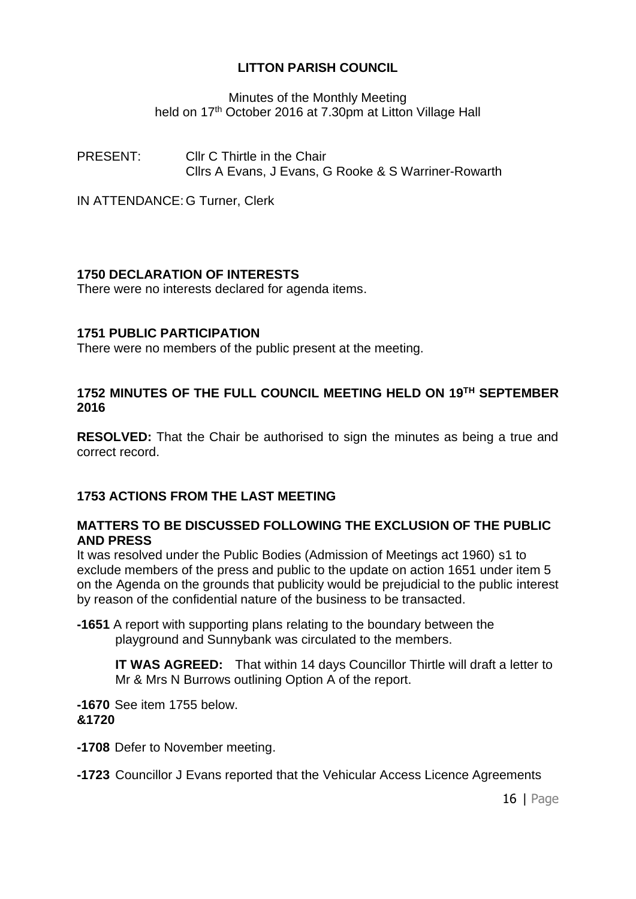Minutes of the Monthly Meeting held on 17<sup>th</sup> October 2016 at 7.30pm at Litton Village Hall

PRESENT: Cllr C Thirtle in the Chair Cllrs A Evans, J Evans, G Rooke & S Warriner-Rowarth

IN ATTENDANCE: G Turner, Clerk

# **1750 DECLARATION OF INTERESTS**

There were no interests declared for agenda items.

# **1751 PUBLIC PARTICIPATION**

There were no members of the public present at the meeting.

### **1752 MINUTES OF THE FULL COUNCIL MEETING HELD ON 19 TH SEPTEMBER 2016**

**RESOLVED:** That the Chair be authorised to sign the minutes as being a true and correct record.

# **1753 ACTIONS FROM THE LAST MEETING**

### **MATTERS TO BE DISCUSSED FOLLOWING THE EXCLUSION OF THE PUBLIC AND PRESS**

It was resolved under the Public Bodies (Admission of Meetings act 1960) s1 to exclude members of the press and public to the update on action 1651 under item 5 on the Agenda on the grounds that publicity would be prejudicial to the public interest by reason of the confidential nature of the business to be transacted.

**-1651** A report with supporting plans relating to the boundary between the playground and Sunnybank was circulated to the members.

**IT WAS AGREED:** That within 14 days Councillor Thirtle will draft a letter to Mr & Mrs N Burrows outlining Option A of the report.

**-1670** See item 1755 below. **&1720**

**-1708** Defer to November meeting.

**-1723** Councillor J Evans reported that the Vehicular Access Licence Agreements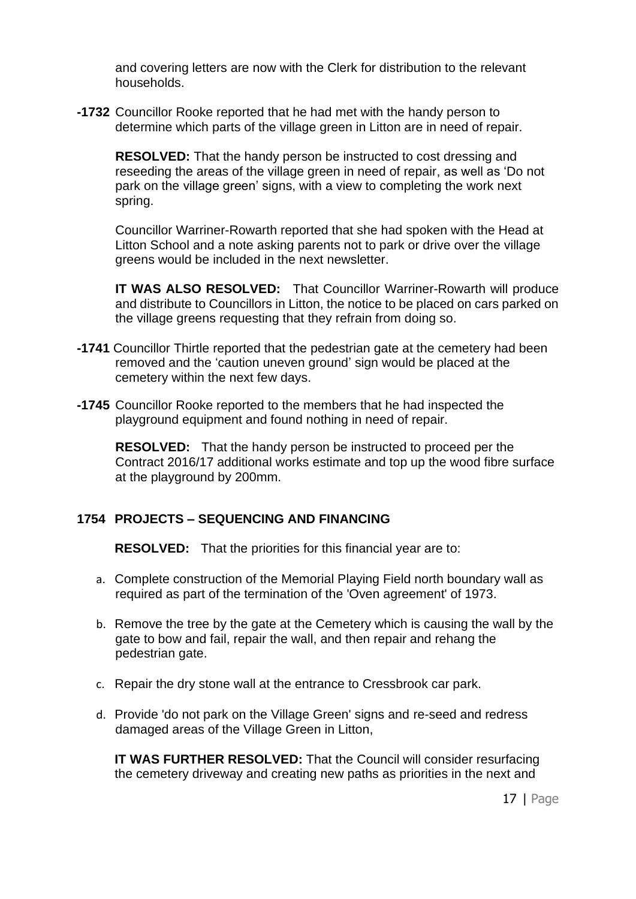and covering letters are now with the Clerk for distribution to the relevant households.

**-1732** Councillor Rooke reported that he had met with the handy person to determine which parts of the village green in Litton are in need of repair.

**RESOLVED:** That the handy person be instructed to cost dressing and reseeding the areas of the village green in need of repair, as well as 'Do not park on the village green' signs, with a view to completing the work next spring.

Councillor Warriner-Rowarth reported that she had spoken with the Head at Litton School and a note asking parents not to park or drive over the village greens would be included in the next newsletter.

**IT WAS ALSO RESOLVED:** That Councillor Warriner-Rowarth will produce and distribute to Councillors in Litton, the notice to be placed on cars parked on the village greens requesting that they refrain from doing so.

- **-1741** Councillor Thirtle reported that the pedestrian gate at the cemetery had been removed and the 'caution uneven ground' sign would be placed at the cemetery within the next few days.
- **-1745** Councillor Rooke reported to the members that he had inspected the playground equipment and found nothing in need of repair.

**RESOLVED:** That the handy person be instructed to proceed per the Contract 2016/17 additional works estimate and top up the wood fibre surface at the playground by 200mm.

#### **1754 PROJECTS – SEQUENCING AND FINANCING**

**RESOLVED:** That the priorities for this financial year are to:

- a. Complete construction of the Memorial Playing Field north boundary wall as required as part of the termination of the 'Oven agreement' of 1973.
- b. Remove the tree by the gate at the Cemetery which is causing the wall by the gate to bow and fail, repair the wall, and then repair and rehang the pedestrian gate.
- c. Repair the dry stone wall at the entrance to Cressbrook car park.
- d. Provide 'do not park on the Village Green' signs and re-seed and redress damaged areas of the Village Green in Litton,

**IT WAS FURTHER RESOLVED:** That the Council will consider resurfacing the cemetery driveway and creating new paths as priorities in the next and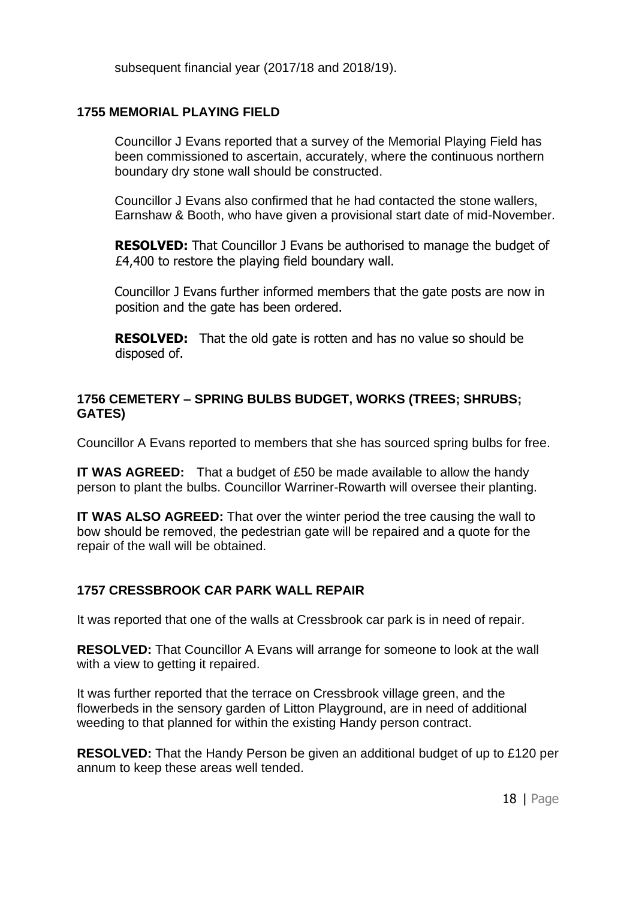subsequent financial year (2017/18 and 2018/19).

# **1755 MEMORIAL PLAYING FIELD**

Councillor J Evans reported that a survey of the Memorial Playing Field has been commissioned to ascertain, accurately, where the continuous northern boundary dry stone wall should be constructed.

Councillor J Evans also confirmed that he had contacted the stone wallers, Earnshaw & Booth, who have given a provisional start date of mid-November.

**RESOLVED:** That Councillor J Evans be authorised to manage the budget of £4,400 to restore the playing field boundary wall.

Councillor J Evans further informed members that the gate posts are now in position and the gate has been ordered.

**RESOLVED:** That the old gate is rotten and has no value so should be disposed of.

### **1756 CEMETERY – SPRING BULBS BUDGET, WORKS (TREES; SHRUBS; GATES)**

Councillor A Evans reported to members that she has sourced spring bulbs for free.

**IT WAS AGREED:** That a budget of £50 be made available to allow the handy person to plant the bulbs. Councillor Warriner-Rowarth will oversee their planting.

**IT WAS ALSO AGREED:** That over the winter period the tree causing the wall to bow should be removed, the pedestrian gate will be repaired and a quote for the repair of the wall will be obtained.

# **1757 CRESSBROOK CAR PARK WALL REPAIR**

It was reported that one of the walls at Cressbrook car park is in need of repair.

**RESOLVED:** That Councillor A Evans will arrange for someone to look at the wall with a view to getting it repaired.

It was further reported that the terrace on Cressbrook village green, and the flowerbeds in the sensory garden of Litton Playground, are in need of additional weeding to that planned for within the existing Handy person contract.

**RESOLVED:** That the Handy Person be given an additional budget of up to £120 per annum to keep these areas well tended.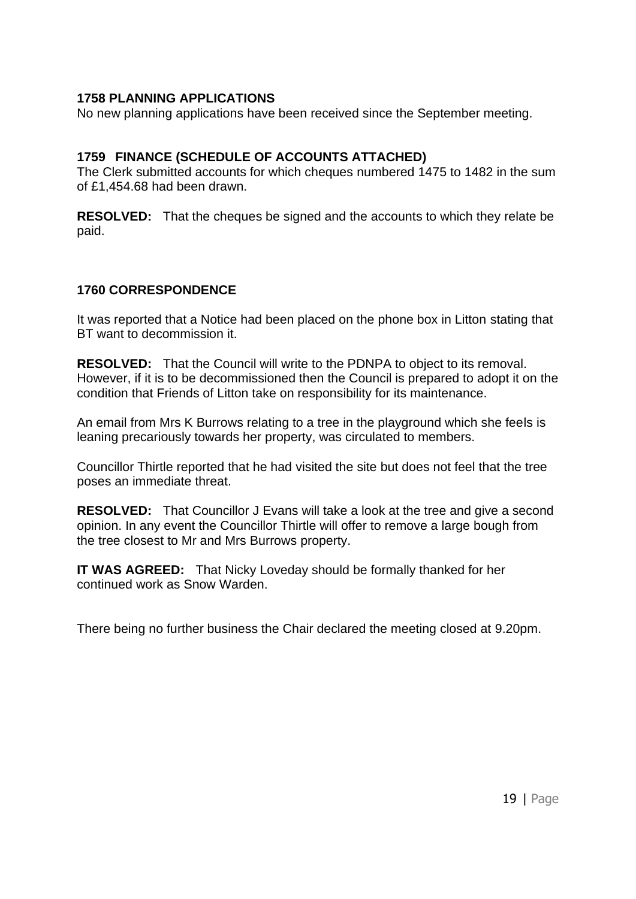### **1758 PLANNING APPLICATIONS**

No new planning applications have been received since the September meeting.

#### **1759 FINANCE (SCHEDULE OF ACCOUNTS ATTACHED)**

The Clerk submitted accounts for which cheques numbered 1475 to 1482 in the sum of £1,454.68 had been drawn.

**RESOLVED:** That the cheques be signed and the accounts to which they relate be paid.

#### **1760 CORRESPONDENCE**

It was reported that a Notice had been placed on the phone box in Litton stating that BT want to decommission it.

**RESOLVED:** That the Council will write to the PDNPA to object to its removal. However, if it is to be decommissioned then the Council is prepared to adopt it on the condition that Friends of Litton take on responsibility for its maintenance.

An email from Mrs K Burrows relating to a tree in the playground which she feels is leaning precariously towards her property, was circulated to members.

Councillor Thirtle reported that he had visited the site but does not feel that the tree poses an immediate threat.

**RESOLVED:** That Councillor J Evans will take a look at the tree and give a second opinion. In any event the Councillor Thirtle will offer to remove a large bough from the tree closest to Mr and Mrs Burrows property.

**IT WAS AGREED:** That Nicky Loveday should be formally thanked for her continued work as Snow Warden.

There being no further business the Chair declared the meeting closed at 9.20pm.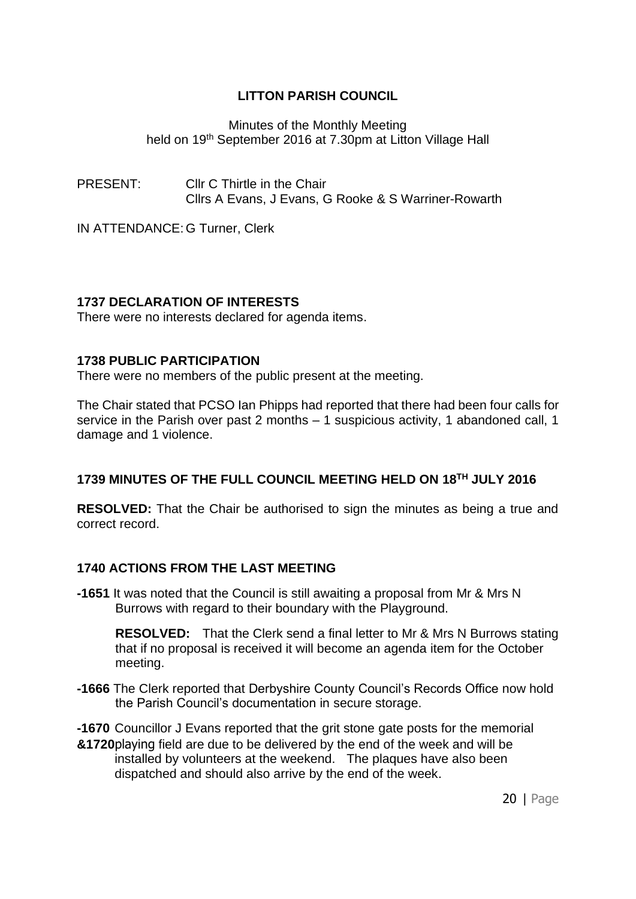Minutes of the Monthly Meeting held on 19<sup>th</sup> September 2016 at 7.30pm at Litton Village Hall

PRESENT: Cllr C Thirtle in the Chair Cllrs A Evans, J Evans, G Rooke & S Warriner-Rowarth

IN ATTENDANCE: G Turner, Clerk

### **1737 DECLARATION OF INTERESTS**

There were no interests declared for agenda items.

#### **1738 PUBLIC PARTICIPATION**

There were no members of the public present at the meeting.

The Chair stated that PCSO Ian Phipps had reported that there had been four calls for service in the Parish over past 2 months – 1 suspicious activity, 1 abandoned call, 1 damage and 1 violence.

# **1739 MINUTES OF THE FULL COUNCIL MEETING HELD ON 18 TH JULY 2016**

**RESOLVED:** That the Chair be authorised to sign the minutes as being a true and correct record.

#### **1740 ACTIONS FROM THE LAST MEETING**

**-1651** It was noted that the Council is still awaiting a proposal from Mr & Mrs N Burrows with regard to their boundary with the Playground.

**RESOLVED:** That the Clerk send a final letter to Mr & Mrs N Burrows stating that if no proposal is received it will become an agenda item for the October meeting.

- **-1666** The Clerk reported that Derbyshire County Council's Records Office now hold the Parish Council's documentation in secure storage.
- **-1670** Councillor J Evans reported that the grit stone gate posts for the memorial **&1720**playing field are due to be delivered by the end of the week and will be installed by volunteers at the weekend. The plaques have also been dispatched and should also arrive by the end of the week.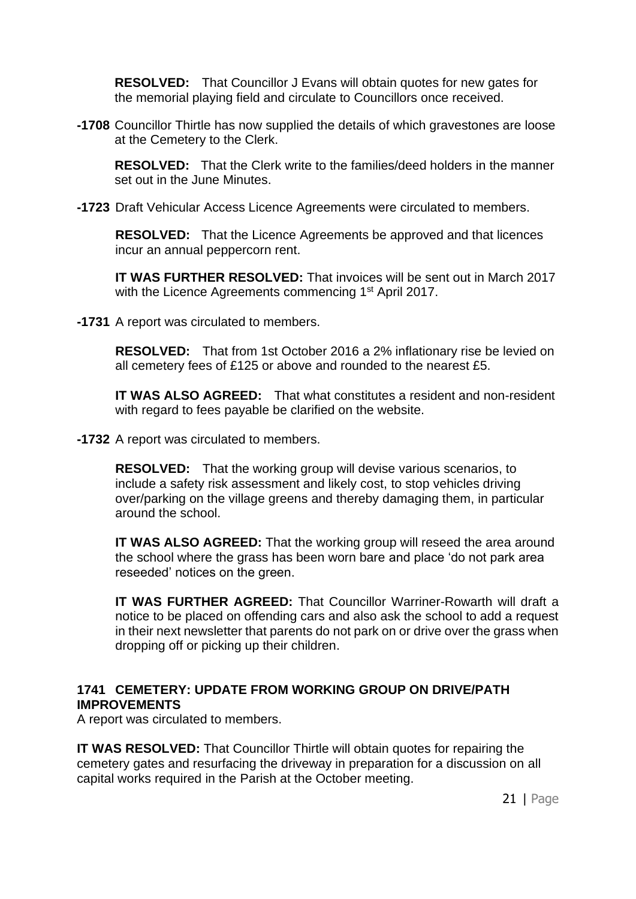**RESOLVED:** That Councillor J Evans will obtain quotes for new gates for the memorial playing field and circulate to Councillors once received.

**-1708** Councillor Thirtle has now supplied the details of which gravestones are loose at the Cemetery to the Clerk.

**RESOLVED:** That the Clerk write to the families/deed holders in the manner set out in the June Minutes.

**-1723** Draft Vehicular Access Licence Agreements were circulated to members.

**RESOLVED:** That the Licence Agreements be approved and that licences incur an annual peppercorn rent.

**IT WAS FURTHER RESOLVED:** That invoices will be sent out in March 2017 with the Licence Agreements commencing 1<sup>st</sup> April 2017.

**-1731** A report was circulated to members.

**RESOLVED:** That from 1st October 2016 a 2% inflationary rise be levied on all cemetery fees of £125 or above and rounded to the nearest £5.

**IT WAS ALSO AGREED:** That what constitutes a resident and non-resident with regard to fees payable be clarified on the website.

**-1732** A report was circulated to members.

**RESOLVED:** That the working group will devise various scenarios, to include a safety risk assessment and likely cost, to stop vehicles driving over/parking on the village greens and thereby damaging them, in particular around the school.

**IT WAS ALSO AGREED:** That the working group will reseed the area around the school where the grass has been worn bare and place 'do not park area reseeded' notices on the green.

**IT WAS FURTHER AGREED:** That Councillor Warriner-Rowarth will draft a notice to be placed on offending cars and also ask the school to add a request in their next newsletter that parents do not park on or drive over the grass when dropping off or picking up their children.

# **1741 CEMETERY: UPDATE FROM WORKING GROUP ON DRIVE/PATH IMPROVEMENTS**

A report was circulated to members.

**IT WAS RESOLVED:** That Councillor Thirtle will obtain quotes for repairing the cemetery gates and resurfacing the driveway in preparation for a discussion on all capital works required in the Parish at the October meeting.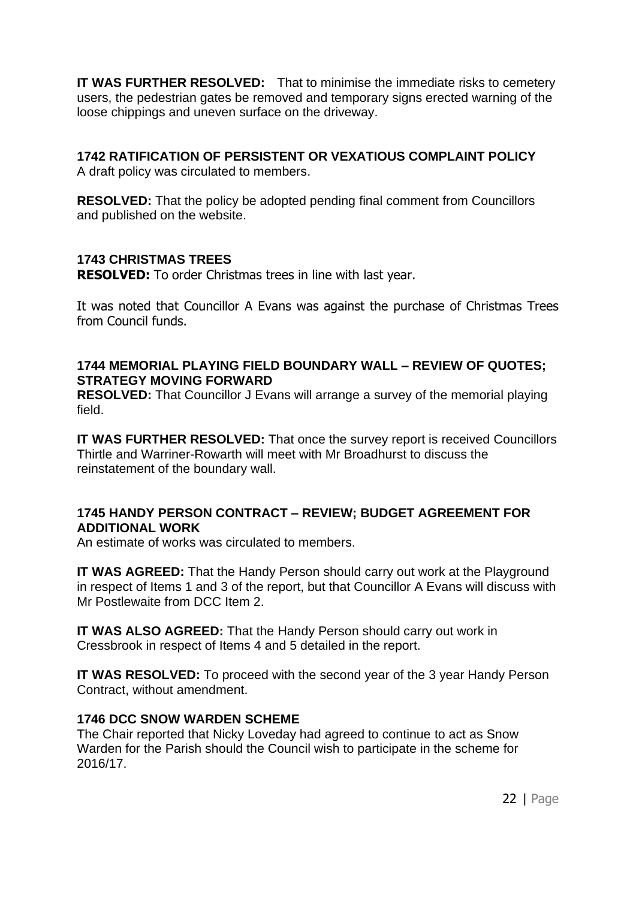**IT WAS FURTHER RESOLVED:** That to minimise the immediate risks to cemetery users, the pedestrian gates be removed and temporary signs erected warning of the loose chippings and uneven surface on the driveway.

# **1742 RATIFICATION OF PERSISTENT OR VEXATIOUS COMPLAINT POLICY**

A draft policy was circulated to members.

**RESOLVED:** That the policy be adopted pending final comment from Councillors and published on the website.

# **1743 CHRISTMAS TREES**

**RESOLVED:** To order Christmas trees in line with last year.

It was noted that Councillor A Evans was against the purchase of Christmas Trees from Council funds.

### **1744 MEMORIAL PLAYING FIELD BOUNDARY WALL – REVIEW OF QUOTES; STRATEGY MOVING FORWARD**

**RESOLVED:** That Councillor J Evans will arrange a survey of the memorial playing field.

**IT WAS FURTHER RESOLVED:** That once the survey report is received Councillors Thirtle and Warriner-Rowarth will meet with Mr Broadhurst to discuss the reinstatement of the boundary wall.

# **1745 HANDY PERSON CONTRACT – REVIEW; BUDGET AGREEMENT FOR ADDITIONAL WORK**

An estimate of works was circulated to members.

**IT WAS AGREED:** That the Handy Person should carry out work at the Playground in respect of Items 1 and 3 of the report, but that Councillor A Evans will discuss with Mr Postlewaite from DCC Item 2.

**IT WAS ALSO AGREED:** That the Handy Person should carry out work in Cressbrook in respect of Items 4 and 5 detailed in the report.

**IT WAS RESOLVED:** To proceed with the second year of the 3 year Handy Person Contract, without amendment.

# **1746 DCC SNOW WARDEN SCHEME**

The Chair reported that Nicky Loveday had agreed to continue to act as Snow Warden for the Parish should the Council wish to participate in the scheme for 2016/17.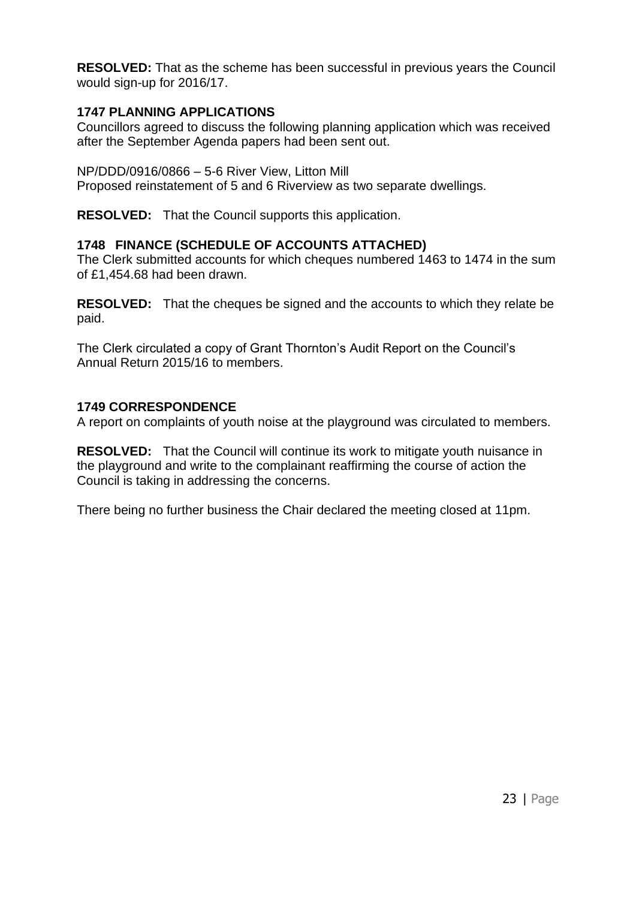**RESOLVED:** That as the scheme has been successful in previous years the Council would sign-up for 2016/17.

# **1747 PLANNING APPLICATIONS**

Councillors agreed to discuss the following planning application which was received after the September Agenda papers had been sent out.

NP/DDD/0916/0866 – 5-6 River View, Litton Mill

Proposed reinstatement of 5 and 6 Riverview as two separate dwellings.

**RESOLVED:** That the Council supports this application.

# **1748 FINANCE (SCHEDULE OF ACCOUNTS ATTACHED)**

The Clerk submitted accounts for which cheques numbered 1463 to 1474 in the sum of £1,454.68 had been drawn.

**RESOLVED:** That the cheques be signed and the accounts to which they relate be paid.

The Clerk circulated a copy of Grant Thornton's Audit Report on the Council's Annual Return 2015/16 to members.

# **1749 CORRESPONDENCE**

A report on complaints of youth noise at the playground was circulated to members.

**RESOLVED:** That the Council will continue its work to mitigate youth nuisance in the playground and write to the complainant reaffirming the course of action the Council is taking in addressing the concerns.

There being no further business the Chair declared the meeting closed at 11pm.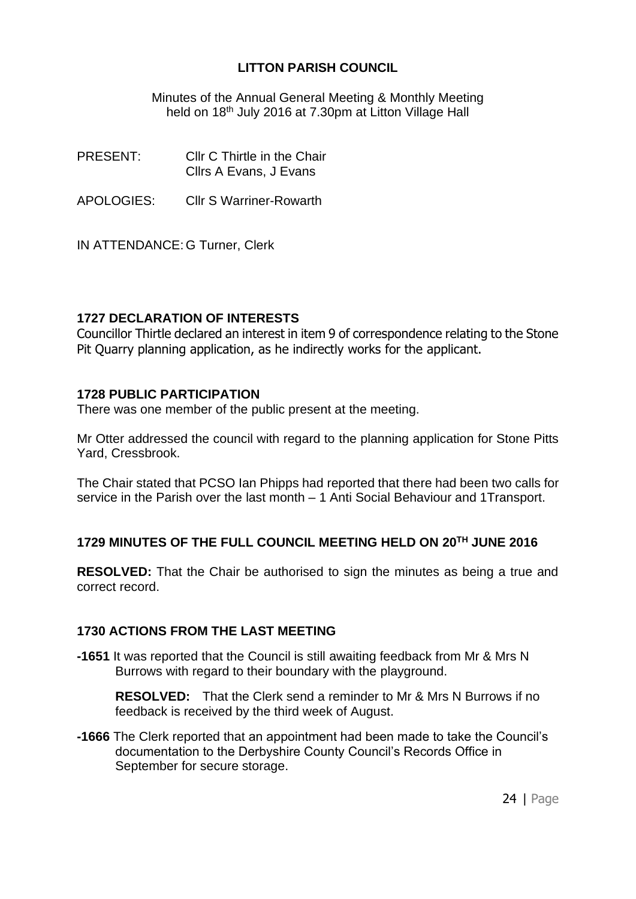Minutes of the Annual General Meeting & Monthly Meeting held on 18<sup>th</sup> July 2016 at 7.30pm at Litton Village Hall

PRESENT: Cllr C Thirtle in the Chair Cllrs A Evans, J Evans

APOLOGIES: Cllr S Warriner-Rowarth

IN ATTENDANCE: G Turner, Clerk

### **1727 DECLARATION OF INTERESTS**

Councillor Thirtle declared an interest in item 9 of correspondence relating to the Stone Pit Quarry planning application, as he indirectly works for the applicant.

#### **1728 PUBLIC PARTICIPATION**

There was one member of the public present at the meeting.

Mr Otter addressed the council with regard to the planning application for Stone Pitts Yard, Cressbrook.

The Chair stated that PCSO Ian Phipps had reported that there had been two calls for service in the Parish over the last month – 1 Anti Social Behaviour and 1Transport.

# **1729 MINUTES OF THE FULL COUNCIL MEETING HELD ON 20TH JUNE 2016**

**RESOLVED:** That the Chair be authorised to sign the minutes as being a true and correct record.

#### **1730 ACTIONS FROM THE LAST MEETING**

**-1651** It was reported that the Council is still awaiting feedback from Mr & Mrs N Burrows with regard to their boundary with the playground.

**RESOLVED:** That the Clerk send a reminder to Mr & Mrs N Burrows if no feedback is received by the third week of August.

**-1666** The Clerk reported that an appointment had been made to take the Council's documentation to the Derbyshire County Council's Records Office in September for secure storage.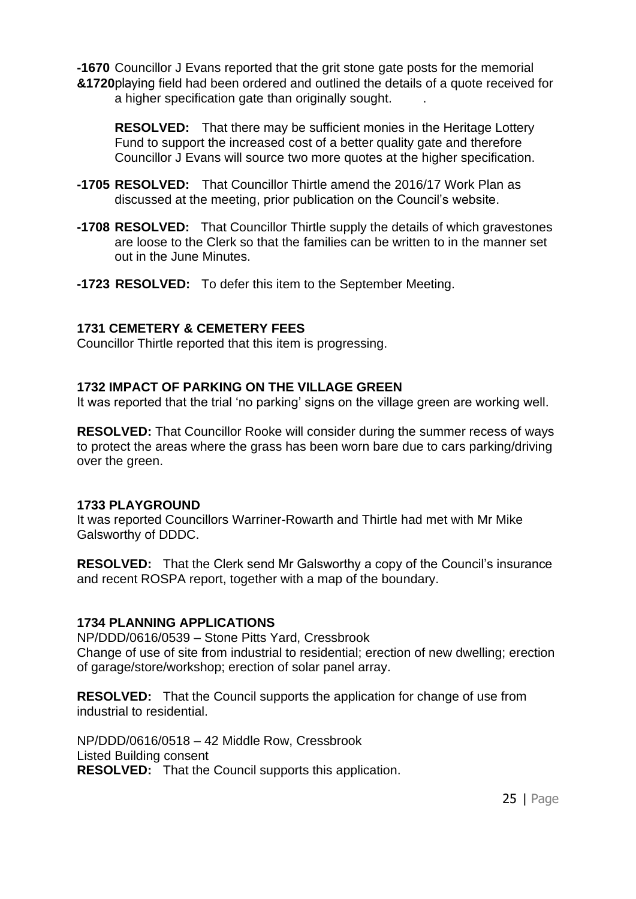**-1670** Councillor J Evans reported that the grit stone gate posts for the memorial **&1720**playing field had been ordered and outlined the details of a quote received for a higher specification gate than originally sought.

**RESOLVED:** That there may be sufficient monies in the Heritage Lottery Fund to support the increased cost of a better quality gate and therefore Councillor J Evans will source two more quotes at the higher specification.

- **-1705 RESOLVED:** That Councillor Thirtle amend the 2016/17 Work Plan as discussed at the meeting, prior publication on the Council's website.
- **-1708 RESOLVED:** That Councillor Thirtle supply the details of which gravestones are loose to the Clerk so that the families can be written to in the manner set out in the June Minutes.
- **-1723 RESOLVED:** To defer this item to the September Meeting.

#### **1731 CEMETERY & CEMETERY FEES**

Councillor Thirtle reported that this item is progressing.

#### **1732 IMPACT OF PARKING ON THE VILLAGE GREEN**

It was reported that the trial 'no parking' signs on the village green are working well.

**RESOLVED:** That Councillor Rooke will consider during the summer recess of ways to protect the areas where the grass has been worn bare due to cars parking/driving over the green.

#### **1733 PLAYGROUND**

It was reported Councillors Warriner-Rowarth and Thirtle had met with Mr Mike Galsworthy of DDDC.

**RESOLVED:** That the Clerk send Mr Galsworthy a copy of the Council's insurance and recent ROSPA report, together with a map of the boundary.

#### **1734 PLANNING APPLICATIONS**

NP/DDD/0616/0539 – Stone Pitts Yard, Cressbrook Change of use of site from industrial to residential; erection of new dwelling; erection of garage/store/workshop; erection of solar panel array.

**RESOLVED:** That the Council supports the application for change of use from industrial to residential.

NP/DDD/0616/0518 – 42 Middle Row, Cressbrook Listed Building consent **RESOLVED:** That the Council supports this application.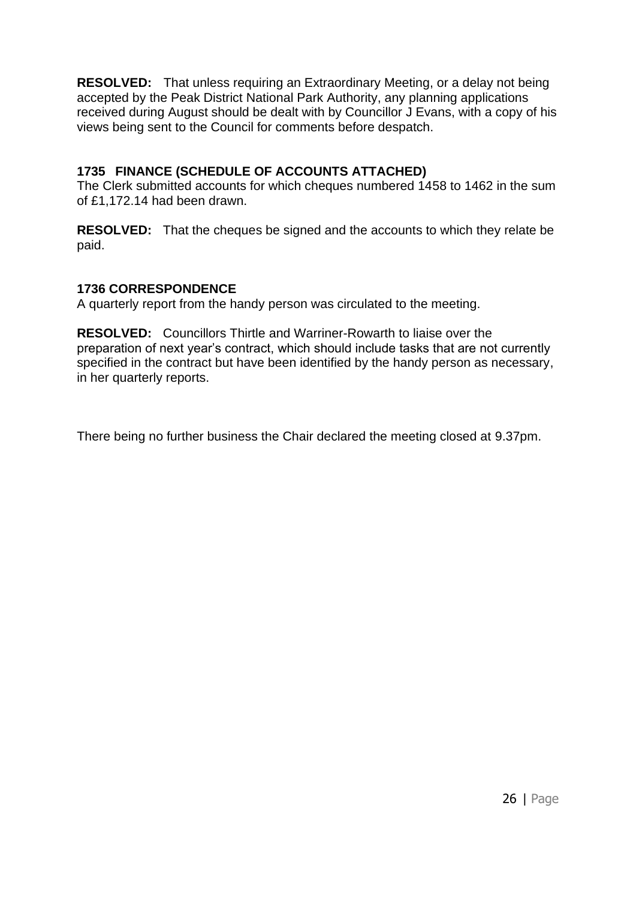**RESOLVED:** That unless requiring an Extraordinary Meeting, or a delay not being accepted by the Peak District National Park Authority, any planning applications received during August should be dealt with by Councillor J Evans, with a copy of his views being sent to the Council for comments before despatch.

# **1735 FINANCE (SCHEDULE OF ACCOUNTS ATTACHED)**

The Clerk submitted accounts for which cheques numbered 1458 to 1462 in the sum of £1,172.14 had been drawn.

**RESOLVED:** That the cheques be signed and the accounts to which they relate be paid.

### **1736 CORRESPONDENCE**

A quarterly report from the handy person was circulated to the meeting.

**RESOLVED:** Councillors Thirtle and Warriner-Rowarth to liaise over the preparation of next year's contract, which should include tasks that are not currently specified in the contract but have been identified by the handy person as necessary, in her quarterly reports.

There being no further business the Chair declared the meeting closed at 9.37pm.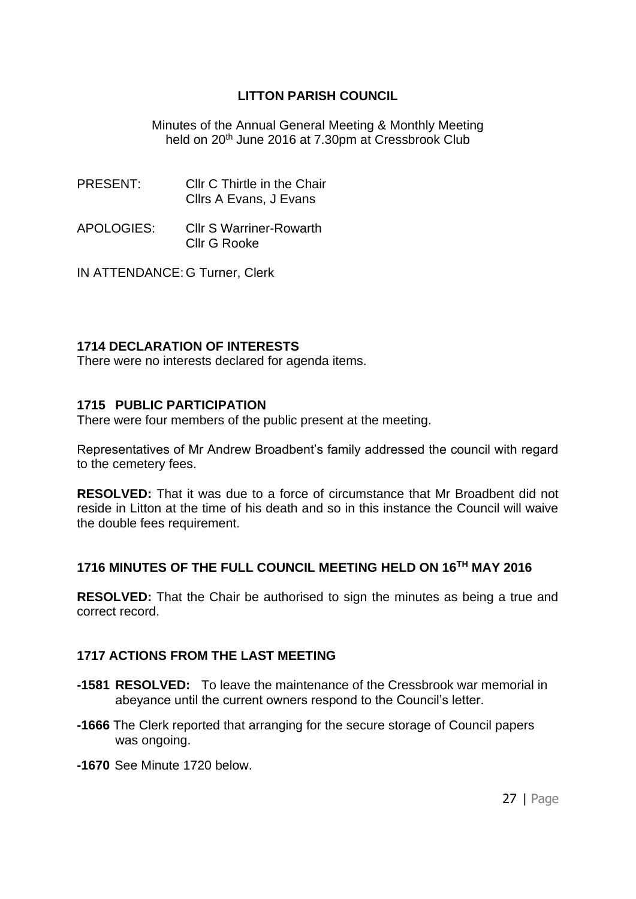Minutes of the Annual General Meeting & Monthly Meeting held on 20th June 2016 at 7.30pm at Cressbrook Club

- PRESENT: Cllr C Thirtle in the Chair Cllrs A Evans, J Evans
- APOLOGIES: Cllr S Warriner-Rowarth Cllr G Rooke

IN ATTENDANCE: G Turner, Clerk

#### **1714 DECLARATION OF INTERESTS**

There were no interests declared for agenda items.

#### **1715 PUBLIC PARTICIPATION**

There were four members of the public present at the meeting.

Representatives of Mr Andrew Broadbent's family addressed the council with regard to the cemetery fees.

**RESOLVED:** That it was due to a force of circumstance that Mr Broadbent did not reside in Litton at the time of his death and so in this instance the Council will waive the double fees requirement.

#### **1716 MINUTES OF THE FULL COUNCIL MEETING HELD ON 16TH MAY 2016**

**RESOLVED:** That the Chair be authorised to sign the minutes as being a true and correct record.

#### **1717 ACTIONS FROM THE LAST MEETING**

- **-1581 RESOLVED:** To leave the maintenance of the Cressbrook war memorial in abeyance until the current owners respond to the Council's letter.
- **-1666** The Clerk reported that arranging for the secure storage of Council papers was ongoing.
- **-1670** See Minute 1720 below.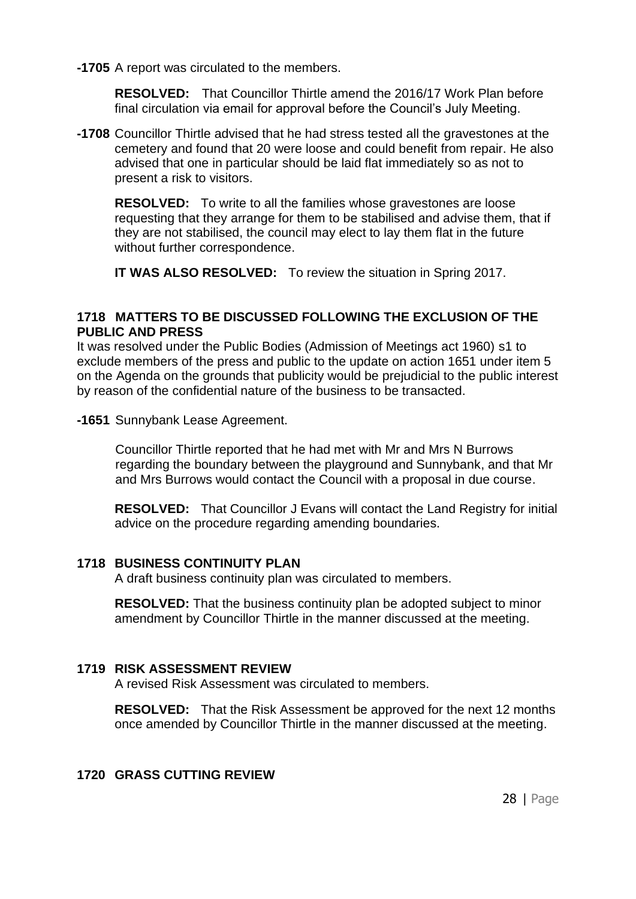**-1705** A report was circulated to the members.

**RESOLVED:** That Councillor Thirtle amend the 2016/17 Work Plan before final circulation via email for approval before the Council's July Meeting.

**-1708** Councillor Thirtle advised that he had stress tested all the gravestones at the cemetery and found that 20 were loose and could benefit from repair. He also advised that one in particular should be laid flat immediately so as not to present a risk to visitors.

**RESOLVED:** To write to all the families whose gravestones are loose requesting that they arrange for them to be stabilised and advise them, that if they are not stabilised, the council may elect to lay them flat in the future without further correspondence.

**IT WAS ALSO RESOLVED:** To review the situation in Spring 2017.

#### **1718 MATTERS TO BE DISCUSSED FOLLOWING THE EXCLUSION OF THE PUBLIC AND PRESS**

It was resolved under the Public Bodies (Admission of Meetings act 1960) s1 to exclude members of the press and public to the update on action 1651 under item 5 on the Agenda on the grounds that publicity would be prejudicial to the public interest by reason of the confidential nature of the business to be transacted.

**-1651** Sunnybank Lease Agreement.

Councillor Thirtle reported that he had met with Mr and Mrs N Burrows regarding the boundary between the playground and Sunnybank, and that Mr and Mrs Burrows would contact the Council with a proposal in due course.

**RESOLVED:** That Councillor J Evans will contact the Land Registry for initial advice on the procedure regarding amending boundaries.

#### **1718 BUSINESS CONTINUITY PLAN**

A draft business continuity plan was circulated to members.

**RESOLVED:** That the business continuity plan be adopted subject to minor amendment by Councillor Thirtle in the manner discussed at the meeting.

#### **1719 RISK ASSESSMENT REVIEW**

A revised Risk Assessment was circulated to members.

**RESOLVED:** That the Risk Assessment be approved for the next 12 months once amended by Councillor Thirtle in the manner discussed at the meeting.

#### **1720 GRASS CUTTING REVIEW**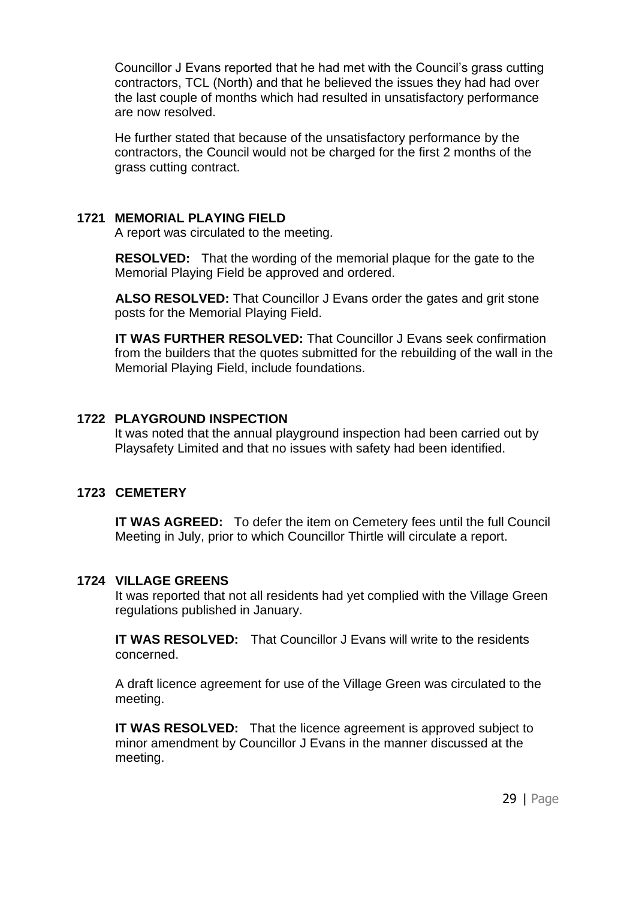Councillor J Evans reported that he had met with the Council's grass cutting contractors, TCL (North) and that he believed the issues they had had over the last couple of months which had resulted in unsatisfactory performance are now resolved.

He further stated that because of the unsatisfactory performance by the contractors, the Council would not be charged for the first 2 months of the grass cutting contract.

#### **1721 MEMORIAL PLAYING FIELD**

A report was circulated to the meeting.

**RESOLVED:** That the wording of the memorial plaque for the gate to the Memorial Playing Field be approved and ordered.

**ALSO RESOLVED:** That Councillor J Evans order the gates and grit stone posts for the Memorial Playing Field.

**IT WAS FURTHER RESOLVED:** That Councillor J Evans seek confirmation from the builders that the quotes submitted for the rebuilding of the wall in the Memorial Playing Field, include foundations.

#### **1722 PLAYGROUND INSPECTION**

It was noted that the annual playground inspection had been carried out by Playsafety Limited and that no issues with safety had been identified.

#### **1723 CEMETERY**

**IT WAS AGREED:** To defer the item on Cemetery fees until the full Council Meeting in July, prior to which Councillor Thirtle will circulate a report.

#### **1724 VILLAGE GREENS**

It was reported that not all residents had yet complied with the Village Green regulations published in January.

**IT WAS RESOLVED:** That Councillor J Evans will write to the residents concerned.

A draft licence agreement for use of the Village Green was circulated to the meeting.

**IT WAS RESOLVED:** That the licence agreement is approved subject to minor amendment by Councillor J Evans in the manner discussed at the meeting.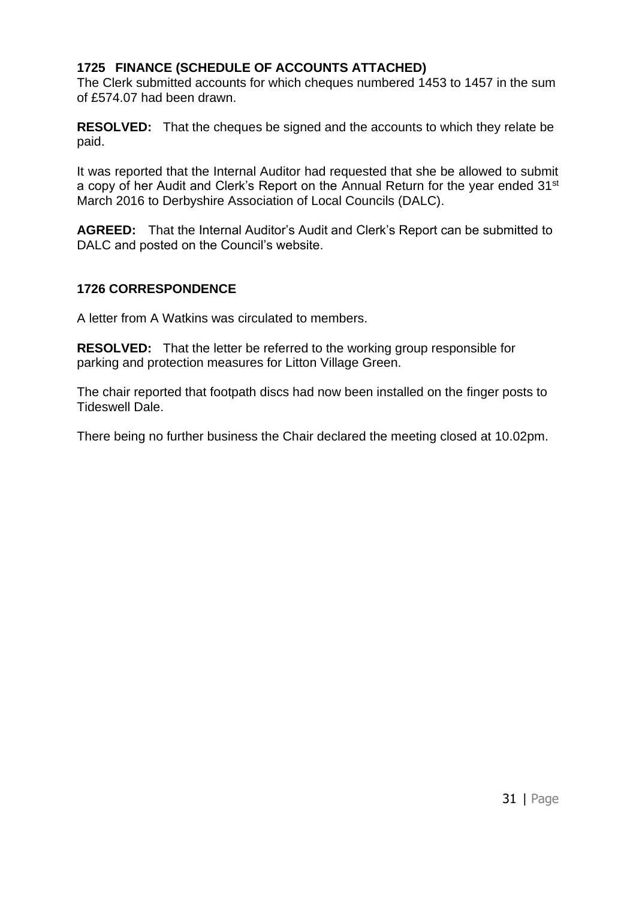# **1725 FINANCE (SCHEDULE OF ACCOUNTS ATTACHED)**

The Clerk submitted accounts for which cheques numbered 1453 to 1457 in the sum of £574.07 had been drawn.

**RESOLVED:** That the cheques be signed and the accounts to which they relate be paid.

It was reported that the Internal Auditor had requested that she be allowed to submit a copy of her Audit and Clerk's Report on the Annual Return for the year ended 31<sup>st</sup> March 2016 to Derbyshire Association of Local Councils (DALC).

**AGREED:** That the Internal Auditor's Audit and Clerk's Report can be submitted to DALC and posted on the Council's website.

# **1726 CORRESPONDENCE**

A letter from A Watkins was circulated to members.

**RESOLVED:** That the letter be referred to the working group responsible for parking and protection measures for Litton Village Green.

The chair reported that footpath discs had now been installed on the finger posts to Tideswell Dale.

There being no further business the Chair declared the meeting closed at 10.02pm.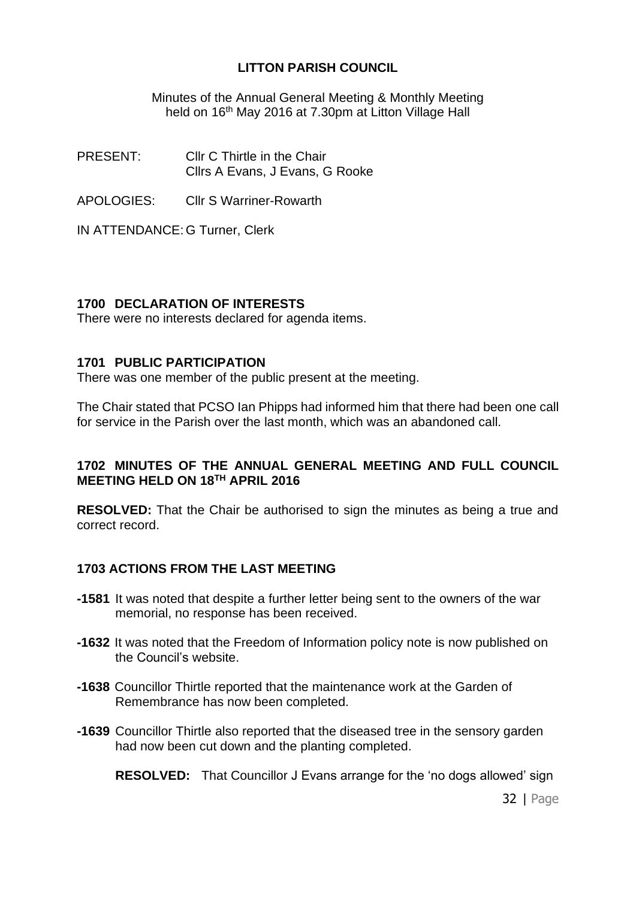Minutes of the Annual General Meeting & Monthly Meeting held on 16<sup>th</sup> May 2016 at 7.30pm at Litton Village Hall

PRESENT: Cllr C Thirtle in the Chair Cllrs A Evans, J Evans, G Rooke

APOLOGIES: Cllr S Warriner-Rowarth

IN ATTENDANCE: G Turner, Clerk

### **1700 DECLARATION OF INTERESTS**

There were no interests declared for agenda items.

#### **1701 PUBLIC PARTICIPATION**

There was one member of the public present at the meeting.

The Chair stated that PCSO Ian Phipps had informed him that there had been one call for service in the Parish over the last month, which was an abandoned call.

#### **1702 MINUTES OF THE ANNUAL GENERAL MEETING AND FULL COUNCIL MEETING HELD ON 18TH APRIL 2016**

**RESOLVED:** That the Chair be authorised to sign the minutes as being a true and correct record.

# **1703 ACTIONS FROM THE LAST MEETING**

- **-1581** It was noted that despite a further letter being sent to the owners of the war memorial, no response has been received.
- **-1632** It was noted that the Freedom of Information policy note is now published on the Council's website.
- **-1638** Councillor Thirtle reported that the maintenance work at the Garden of Remembrance has now been completed.
- **-1639** Councillor Thirtle also reported that the diseased tree in the sensory garden had now been cut down and the planting completed.

**RESOLVED:** That Councillor J Evans arrange for the 'no dogs allowed' sign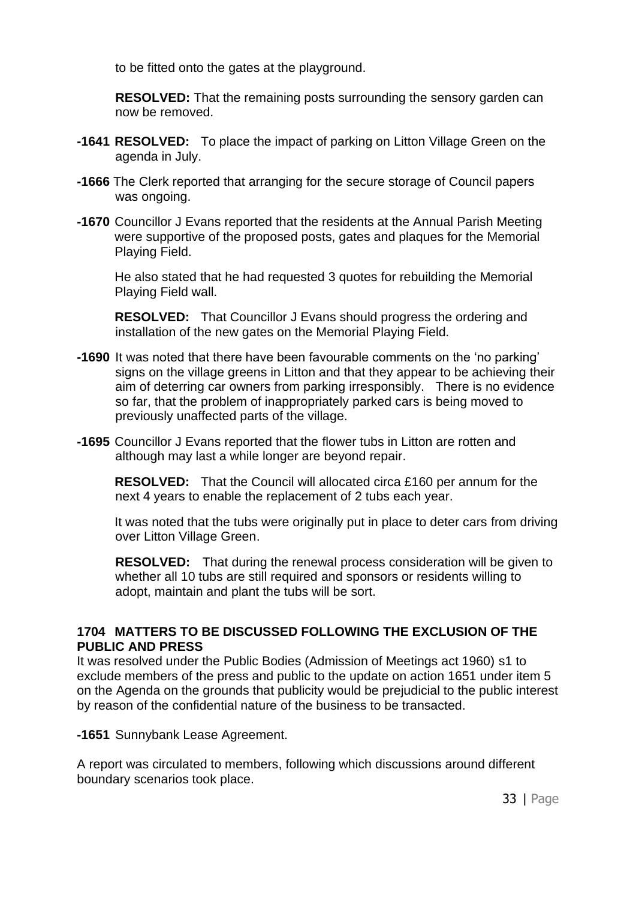to be fitted onto the gates at the playground.

**RESOLVED:** That the remaining posts surrounding the sensory garden can now be removed.

- **-1641 RESOLVED:** To place the impact of parking on Litton Village Green on the agenda in July.
- **-1666** The Clerk reported that arranging for the secure storage of Council papers was ongoing.
- **-1670** Councillor J Evans reported that the residents at the Annual Parish Meeting were supportive of the proposed posts, gates and plaques for the Memorial Playing Field.

He also stated that he had requested 3 quotes for rebuilding the Memorial Playing Field wall.

**RESOLVED:** That Councillor J Evans should progress the ordering and installation of the new gates on the Memorial Playing Field.

- **-1690** It was noted that there have been favourable comments on the 'no parking' signs on the village greens in Litton and that they appear to be achieving their aim of deterring car owners from parking irresponsibly. There is no evidence so far, that the problem of inappropriately parked cars is being moved to previously unaffected parts of the village.
- **-1695** Councillor J Evans reported that the flower tubs in Litton are rotten and although may last a while longer are beyond repair.

**RESOLVED:** That the Council will allocated circa £160 per annum for the next 4 years to enable the replacement of 2 tubs each year.

It was noted that the tubs were originally put in place to deter cars from driving over Litton Village Green.

**RESOLVED:** That during the renewal process consideration will be given to whether all 10 tubs are still required and sponsors or residents willing to adopt, maintain and plant the tubs will be sort.

### **1704 MATTERS TO BE DISCUSSED FOLLOWING THE EXCLUSION OF THE PUBLIC AND PRESS**

It was resolved under the Public Bodies (Admission of Meetings act 1960) s1 to exclude members of the press and public to the update on action 1651 under item 5 on the Agenda on the grounds that publicity would be prejudicial to the public interest by reason of the confidential nature of the business to be transacted.

**-1651** Sunnybank Lease Agreement.

A report was circulated to members, following which discussions around different boundary scenarios took place.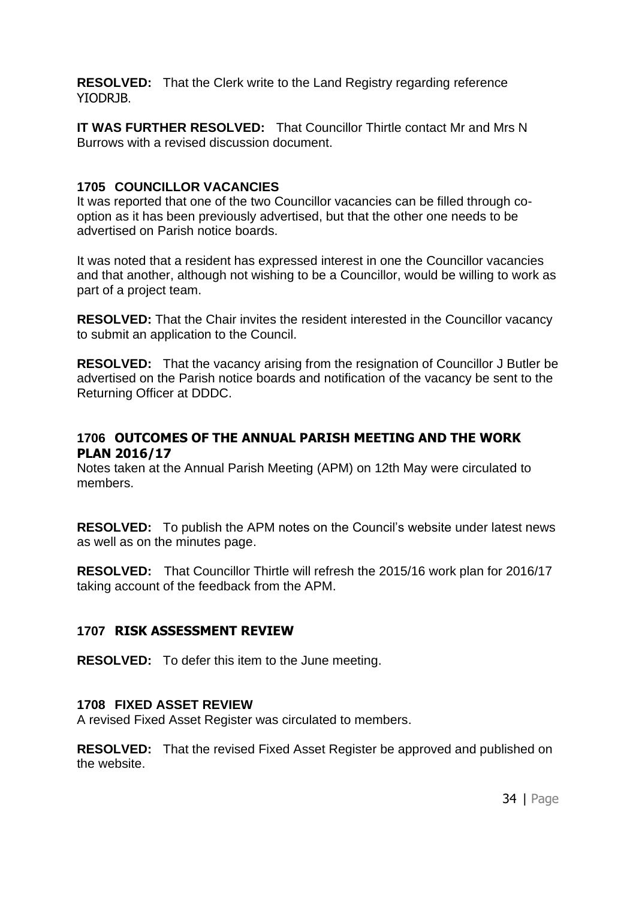**RESOLVED:** That the Clerk write to the Land Registry regarding reference YIODRJB.

**IT WAS FURTHER RESOLVED:** That Councillor Thirtle contact Mr and Mrs N Burrows with a revised discussion document.

#### **1705 COUNCILLOR VACANCIES**

It was reported that one of the two Councillor vacancies can be filled through cooption as it has been previously advertised, but that the other one needs to be advertised on Parish notice boards.

It was noted that a resident has expressed interest in one the Councillor vacancies and that another, although not wishing to be a Councillor, would be willing to work as part of a project team.

**RESOLVED:** That the Chair invites the resident interested in the Councillor vacancy to submit an application to the Council.

**RESOLVED:** That the vacancy arising from the resignation of Councillor J Butler be advertised on the Parish notice boards and notification of the vacancy be sent to the Returning Officer at DDDC.

### **1706 OUTCOMES OF THE ANNUAL PARISH MEETING AND THE WORK PLAN 2016/17**

Notes taken at the Annual Parish Meeting (APM) on 12th May were circulated to members.

**RESOLVED:** To publish the APM notes on the Council's website under latest news as well as on the minutes page.

**RESOLVED:** That Councillor Thirtle will refresh the 2015/16 work plan for 2016/17 taking account of the feedback from the APM.

#### **1707 RISK ASSESSMENT REVIEW**

**RESOLVED:** To defer this item to the June meeting.

#### **1708 FIXED ASSET REVIEW**

A revised Fixed Asset Register was circulated to members.

**RESOLVED:** That the revised Fixed Asset Register be approved and published on the website.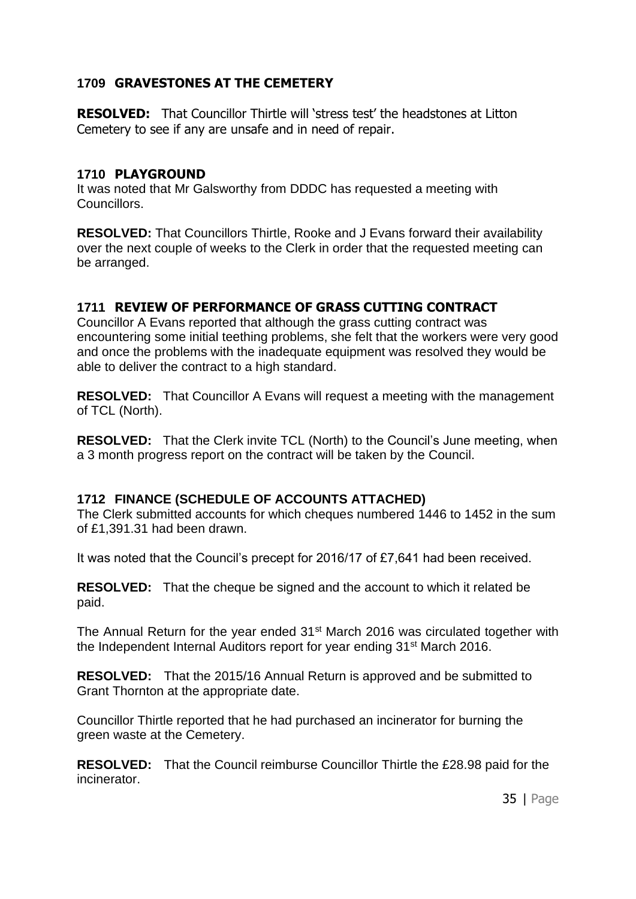# **1709 GRAVESTONES AT THE CEMETERY**

**RESOLVED:** That Councillor Thirtle will 'stress test' the headstones at Litton Cemetery to see if any are unsafe and in need of repair.

#### **1710 PLAYGROUND**

It was noted that Mr Galsworthy from DDDC has requested a meeting with Councillors.

**RESOLVED:** That Councillors Thirtle, Rooke and J Evans forward their availability over the next couple of weeks to the Clerk in order that the requested meeting can be arranged.

# **1711 REVIEW OF PERFORMANCE OF GRASS CUTTING CONTRACT**

Councillor A Evans reported that although the grass cutting contract was encountering some initial teething problems, she felt that the workers were very good and once the problems with the inadequate equipment was resolved they would be able to deliver the contract to a high standard.

**RESOLVED:** That Councillor A Evans will request a meeting with the management of TCL (North).

**RESOLVED:** That the Clerk invite TCL (North) to the Council's June meeting, when a 3 month progress report on the contract will be taken by the Council.

# **1712 FINANCE (SCHEDULE OF ACCOUNTS ATTACHED)**

The Clerk submitted accounts for which cheques numbered 1446 to 1452 in the sum of £1,391.31 had been drawn.

It was noted that the Council's precept for 2016/17 of £7,641 had been received.

**RESOLVED:** That the cheque be signed and the account to which it related be paid.

The Annual Return for the year ended 31<sup>st</sup> March 2016 was circulated together with the Independent Internal Auditors report for year ending 31<sup>st</sup> March 2016.

**RESOLVED:** That the 2015/16 Annual Return is approved and be submitted to Grant Thornton at the appropriate date.

Councillor Thirtle reported that he had purchased an incinerator for burning the green waste at the Cemetery.

**RESOLVED:** That the Council reimburse Councillor Thirtle the £28.98 paid for the incinerator.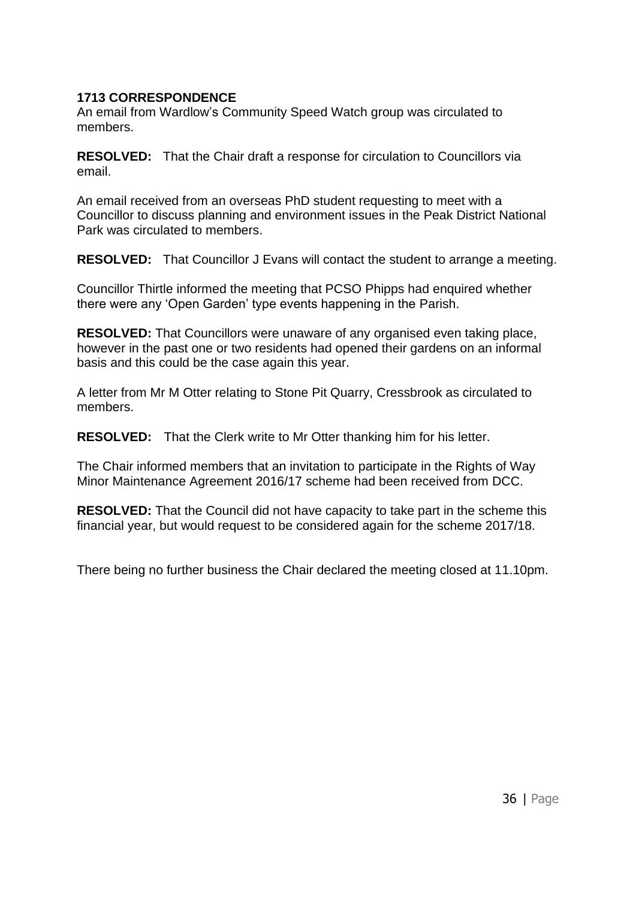# **1713 CORRESPONDENCE**

An email from Wardlow's Community Speed Watch group was circulated to members.

**RESOLVED:** That the Chair draft a response for circulation to Councillors via email.

An email received from an overseas PhD student requesting to meet with a Councillor to discuss planning and environment issues in the Peak District National Park was circulated to members.

**RESOLVED:** That Councillor J Evans will contact the student to arrange a meeting.

Councillor Thirtle informed the meeting that PCSO Phipps had enquired whether there were any 'Open Garden' type events happening in the Parish.

**RESOLVED:** That Councillors were unaware of any organised even taking place, however in the past one or two residents had opened their gardens on an informal basis and this could be the case again this year.

A letter from Mr M Otter relating to Stone Pit Quarry, Cressbrook as circulated to members.

**RESOLVED:** That the Clerk write to Mr Otter thanking him for his letter.

The Chair informed members that an invitation to participate in the Rights of Way Minor Maintenance Agreement 2016/17 scheme had been received from DCC.

**RESOLVED:** That the Council did not have capacity to take part in the scheme this financial year, but would request to be considered again for the scheme 2017/18.

There being no further business the Chair declared the meeting closed at 11.10pm.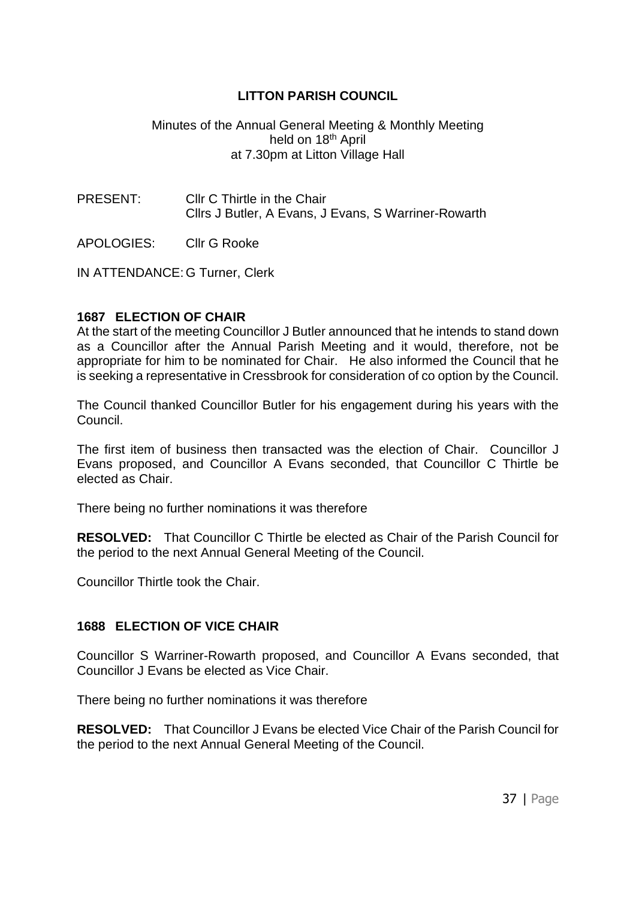### Minutes of the Annual General Meeting & Monthly Meeting held on 18<sup>th</sup> April at 7.30pm at Litton Village Hall

PRESENT: Cllr C Thirtle in the Chair Cllrs J Butler, A Evans, J Evans, S Warriner-Rowarth

APOLOGIES: Cllr G Rooke

IN ATTENDANCE: G Turner, Clerk

#### **1687 ELECTION OF CHAIR**

At the start of the meeting Councillor J Butler announced that he intends to stand down as a Councillor after the Annual Parish Meeting and it would, therefore, not be appropriate for him to be nominated for Chair. He also informed the Council that he is seeking a representative in Cressbrook for consideration of co option by the Council.

The Council thanked Councillor Butler for his engagement during his years with the Council.

The first item of business then transacted was the election of Chair. Councillor J Evans proposed, and Councillor A Evans seconded, that Councillor C Thirtle be elected as Chair.

There being no further nominations it was therefore

**RESOLVED:** That Councillor C Thirtle be elected as Chair of the Parish Council for the period to the next Annual General Meeting of the Council.

Councillor Thirtle took the Chair.

# **1688 ELECTION OF VICE CHAIR**

Councillor S Warriner-Rowarth proposed, and Councillor A Evans seconded, that Councillor J Evans be elected as Vice Chair.

There being no further nominations it was therefore

**RESOLVED:** That Councillor J Evans be elected Vice Chair of the Parish Council for the period to the next Annual General Meeting of the Council.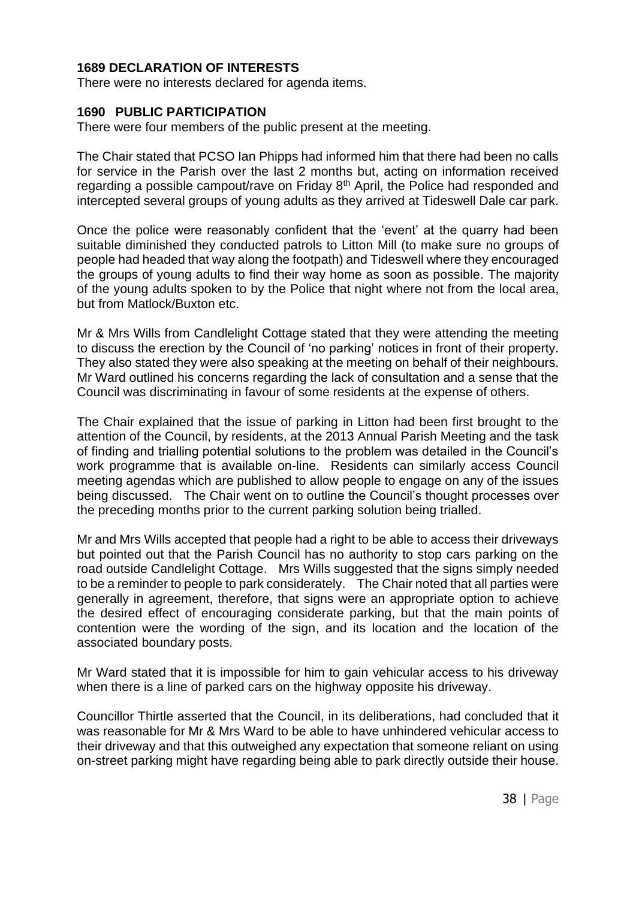### **1689 DECLARATION OF INTERESTS**

There were no interests declared for agenda items.

#### **1690 PUBLIC PARTICIPATION**

There were four members of the public present at the meeting.

The Chair stated that PCSO Ian Phipps had informed him that there had been no calls for service in the Parish over the last 2 months but, acting on information received regarding a possible campout/rave on Friday 8<sup>th</sup> April, the Police had responded and intercepted several groups of young adults as they arrived at Tideswell Dale car park.

Once the police were reasonably confident that the 'event' at the quarry had been suitable diminished they conducted patrols to Litton Mill (to make sure no groups of people had headed that way along the footpath) and Tideswell where they encouraged the groups of young adults to find their way home as soon as possible. The majority of the young adults spoken to by the Police that night where not from the local area, but from Matlock/Buxton etc.

Mr & Mrs Wills from Candlelight Cottage stated that they were attending the meeting to discuss the erection by the Council of 'no parking' notices in front of their property. They also stated they were also speaking at the meeting on behalf of their neighbours. Mr Ward outlined his concerns regarding the lack of consultation and a sense that the Council was discriminating in favour of some residents at the expense of others.

The Chair explained that the issue of parking in Litton had been first brought to the attention of the Council, by residents, at the 2013 Annual Parish Meeting and the task of finding and trialling potential solutions to the problem was detailed in the Council's work programme that is available on-line. Residents can similarly access Council meeting agendas which are published to allow people to engage on any of the issues being discussed. The Chair went on to outline the Council's thought processes over the preceding months prior to the current parking solution being trialled.

Mr and Mrs Wills accepted that people had a right to be able to access their driveways but pointed out that the Parish Council has no authority to stop cars parking on the road outside Candlelight Cottage. Mrs Wills suggested that the signs simply needed to be a reminder to people to park considerately. The Chair noted that all parties were generally in agreement, therefore, that signs were an appropriate option to achieve the desired effect of encouraging considerate parking, but that the main points of contention were the wording of the sign, and its location and the location of the associated boundary posts.

Mr Ward stated that it is impossible for him to gain vehicular access to his driveway when there is a line of parked cars on the highway opposite his driveway.

Councillor Thirtle asserted that the Council, in its deliberations, had concluded that it was reasonable for Mr & Mrs Ward to be able to have unhindered vehicular access to their driveway and that this outweighed any expectation that someone reliant on using on-street parking might have regarding being able to park directly outside their house.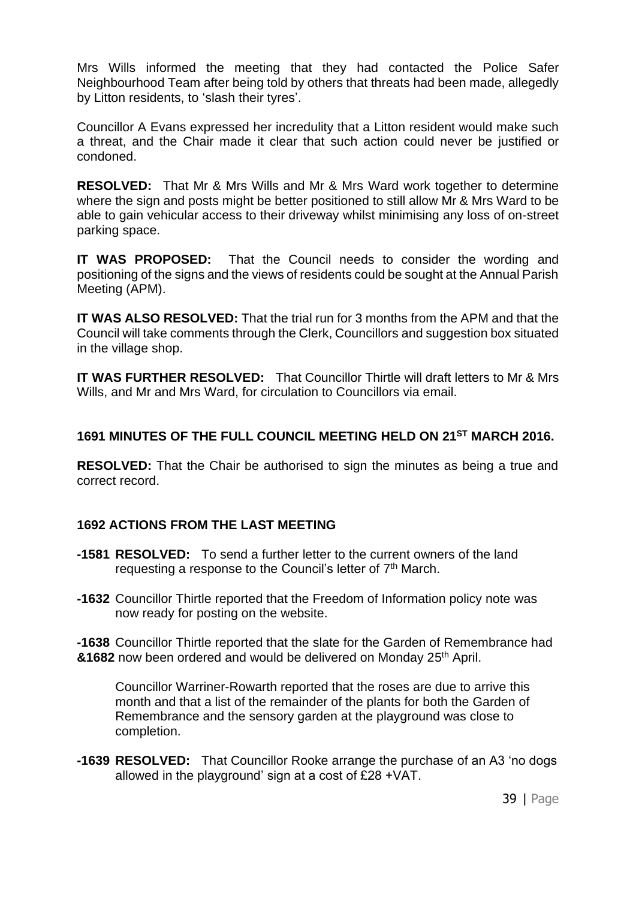Mrs Wills informed the meeting that they had contacted the Police Safer Neighbourhood Team after being told by others that threats had been made, allegedly by Litton residents, to 'slash their tyres'.

Councillor A Evans expressed her incredulity that a Litton resident would make such a threat, and the Chair made it clear that such action could never be justified or condoned.

**RESOLVED:** That Mr & Mrs Wills and Mr & Mrs Ward work together to determine where the sign and posts might be better positioned to still allow Mr & Mrs Ward to be able to gain vehicular access to their driveway whilst minimising any loss of on-street parking space.

**IT WAS PROPOSED:** That the Council needs to consider the wording and positioning of the signs and the views of residents could be sought at the Annual Parish Meeting (APM).

**IT WAS ALSO RESOLVED:** That the trial run for 3 months from the APM and that the Council will take comments through the Clerk, Councillors and suggestion box situated in the village shop.

**IT WAS FURTHER RESOLVED:** That Councillor Thirtle will draft letters to Mr & Mrs Wills, and Mr and Mrs Ward, for circulation to Councillors via email.

### **1691 MINUTES OF THE FULL COUNCIL MEETING HELD ON 21 ST MARCH 2016.**

**RESOLVED:** That the Chair be authorised to sign the minutes as being a true and correct record.

#### **1692 ACTIONS FROM THE LAST MEETING**

- **-1581 RESOLVED:** To send a further letter to the current owners of the land requesting a response to the Council's letter of 7<sup>th</sup> March.
- **-1632** Councillor Thirtle reported that the Freedom of Information policy note was now ready for posting on the website.

**-1638** Councillor Thirtle reported that the slate for the Garden of Remembrance had &1682 now been ordered and would be delivered on Monday 25<sup>th</sup> April.

Councillor Warriner-Rowarth reported that the roses are due to arrive this month and that a list of the remainder of the plants for both the Garden of Remembrance and the sensory garden at the playground was close to completion.

**-1639 RESOLVED:** That Councillor Rooke arrange the purchase of an A3 'no dogs allowed in the playground' sign at a cost of £28 +VAT.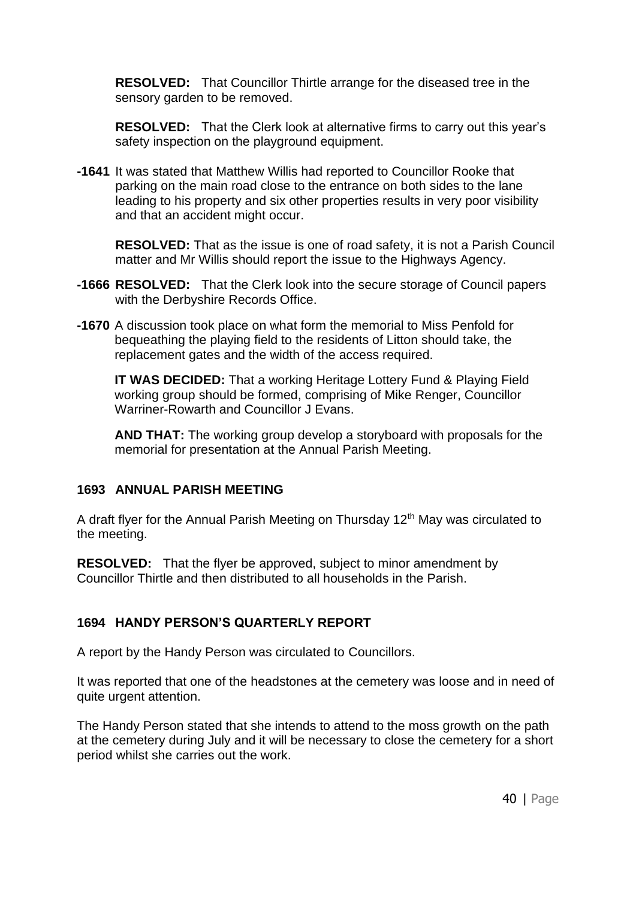**RESOLVED:** That Councillor Thirtle arrange for the diseased tree in the sensory garden to be removed.

**RESOLVED:** That the Clerk look at alternative firms to carry out this year's safety inspection on the playground equipment.

**-1641** It was stated that Matthew Willis had reported to Councillor Rooke that parking on the main road close to the entrance on both sides to the lane leading to his property and six other properties results in very poor visibility and that an accident might occur.

**RESOLVED:** That as the issue is one of road safety, it is not a Parish Council matter and Mr Willis should report the issue to the Highways Agency.

- **-1666 RESOLVED:** That the Clerk look into the secure storage of Council papers with the Derbyshire Records Office.
- **-1670** A discussion took place on what form the memorial to Miss Penfold for bequeathing the playing field to the residents of Litton should take, the replacement gates and the width of the access required.

**IT WAS DECIDED:** That a working Heritage Lottery Fund & Playing Field working group should be formed, comprising of Mike Renger, Councillor Warriner-Rowarth and Councillor J Evans.

**AND THAT:** The working group develop a storyboard with proposals for the memorial for presentation at the Annual Parish Meeting.

#### **1693 ANNUAL PARISH MEETING**

A draft flyer for the Annual Parish Meeting on Thursday  $12<sup>th</sup>$  May was circulated to the meeting.

**RESOLVED:** That the flyer be approved, subject to minor amendment by Councillor Thirtle and then distributed to all households in the Parish.

# **1694 HANDY PERSON'S QUARTERLY REPORT**

A report by the Handy Person was circulated to Councillors.

It was reported that one of the headstones at the cemetery was loose and in need of quite urgent attention.

The Handy Person stated that she intends to attend to the moss growth on the path at the cemetery during July and it will be necessary to close the cemetery for a short period whilst she carries out the work.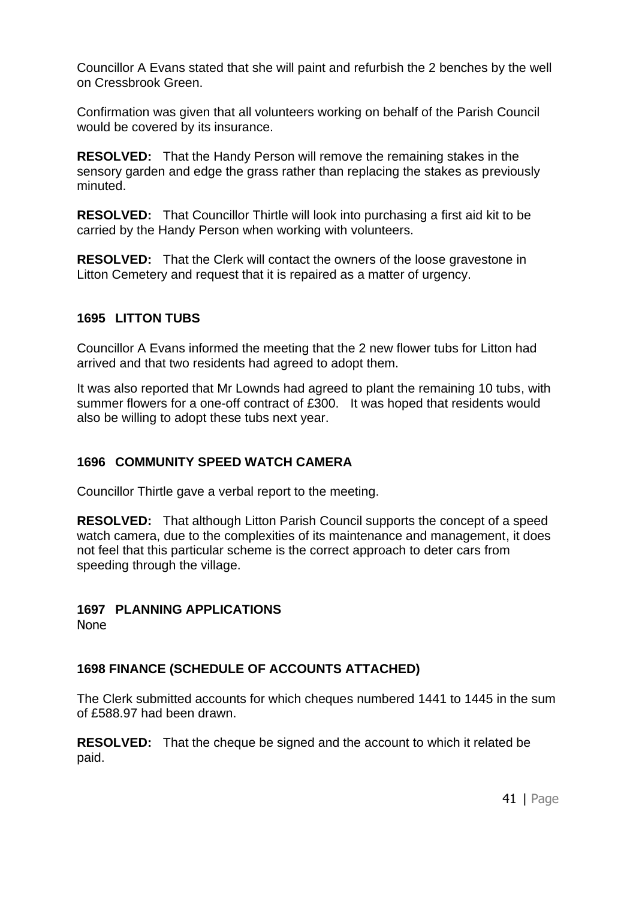Councillor A Evans stated that she will paint and refurbish the 2 benches by the well on Cressbrook Green.

Confirmation was given that all volunteers working on behalf of the Parish Council would be covered by its insurance.

**RESOLVED:** That the Handy Person will remove the remaining stakes in the sensory garden and edge the grass rather than replacing the stakes as previously minuted.

**RESOLVED:** That Councillor Thirtle will look into purchasing a first aid kit to be carried by the Handy Person when working with volunteers.

**RESOLVED:** That the Clerk will contact the owners of the loose gravestone in Litton Cemetery and request that it is repaired as a matter of urgency.

### **1695 LITTON TUBS**

Councillor A Evans informed the meeting that the 2 new flower tubs for Litton had arrived and that two residents had agreed to adopt them.

It was also reported that Mr Lownds had agreed to plant the remaining 10 tubs, with summer flowers for a one-off contract of £300. It was hoped that residents would also be willing to adopt these tubs next year.

# **1696 COMMUNITY SPEED WATCH CAMERA**

Councillor Thirtle gave a verbal report to the meeting.

**RESOLVED:** That although Litton Parish Council supports the concept of a speed watch camera, due to the complexities of its maintenance and management, it does not feel that this particular scheme is the correct approach to deter cars from speeding through the village.

# **1697 PLANNING APPLICATIONS**

None

# **1698 FINANCE (SCHEDULE OF ACCOUNTS ATTACHED)**

The Clerk submitted accounts for which cheques numbered 1441 to 1445 in the sum of £588.97 had been drawn.

**RESOLVED:** That the cheque be signed and the account to which it related be paid.